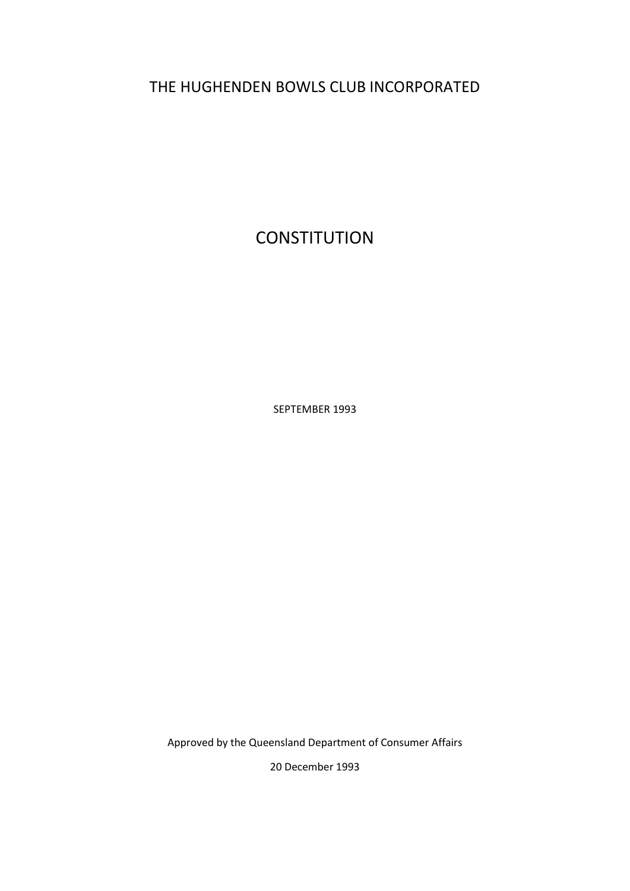# THE HUGHENDEN BOWLS CLUB INCORPORATED

**CONSTITUTION** 

SEPTEMBER 1993

Approved by the Queensland Department of Consumer Affairs

20 December 1993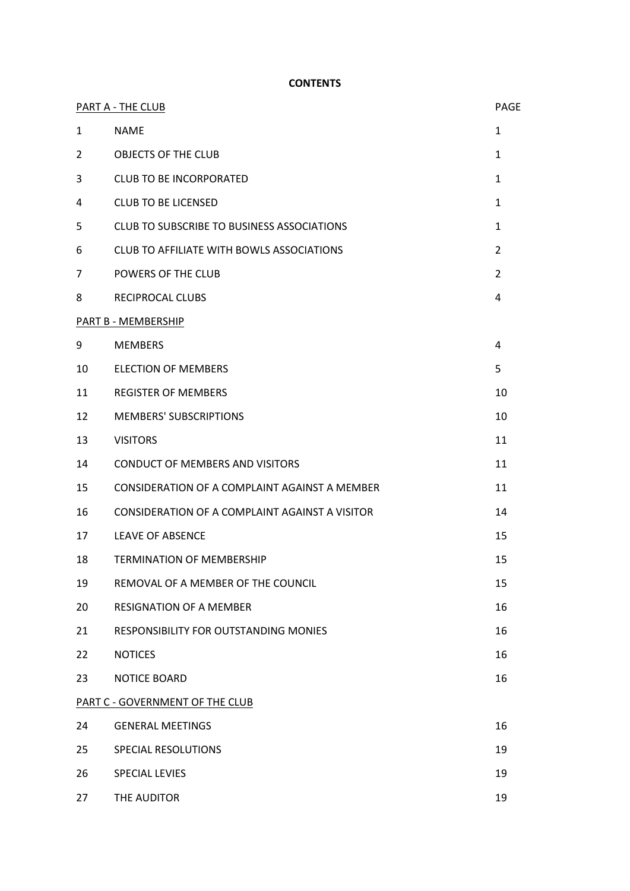**CONTENTS**

| <b>PART A - THE CLUB</b> |                                                   | <b>PAGE</b>    |
|--------------------------|---------------------------------------------------|----------------|
| 1                        | <b>NAME</b>                                       | $\mathbf{1}$   |
| $\overline{2}$           | OBJECTS OF THE CLUB                               | 1              |
| 3                        | <b>CLUB TO BE INCORPORATED</b>                    | $\mathbf{1}$   |
| 4                        | <b>CLUB TO BE LICENSED</b>                        | $\mathbf{1}$   |
| 5                        | <b>CLUB TO SUBSCRIBE TO BUSINESS ASSOCIATIONS</b> | $\mathbf{1}$   |
| 6                        | CLUB TO AFFILIATE WITH BOWLS ASSOCIATIONS         | $\overline{2}$ |
| 7                        | POWERS OF THE CLUB                                | $\overline{2}$ |
| 8                        | <b>RECIPROCAL CLUBS</b>                           | 4              |
|                          | PART B - MEMBERSHIP                               |                |
| 9                        | <b>MEMBERS</b>                                    | 4              |
| 10                       | <b>ELECTION OF MEMBERS</b>                        | 5              |
| 11                       | <b>REGISTER OF MEMBERS</b>                        | 10             |
| 12                       | <b>MEMBERS' SUBSCRIPTIONS</b>                     | 10             |
| 13                       | <b>VISITORS</b>                                   | 11             |
| 14                       | <b>CONDUCT OF MEMBERS AND VISITORS</b>            | 11             |
| 15                       | CONSIDERATION OF A COMPLAINT AGAINST A MEMBER     | 11             |
| 16                       | CONSIDERATION OF A COMPLAINT AGAINST A VISITOR    | 14             |
| 17                       | <b>LEAVE OF ABSENCE</b>                           | 15             |
| 18                       | <b>TERMINATION OF MEMBERSHIP</b>                  | 15             |
| 19                       | REMOVAL OF A MEMBER OF THE COUNCIL                | 15             |
| 20                       | <b>RESIGNATION OF A MEMBER</b>                    | 16             |
| 21                       | RESPONSIBILITY FOR OUTSTANDING MONIES             | 16             |
| 22                       | <b>NOTICES</b>                                    | 16             |
| 23                       | NOTICE BOARD                                      | 16             |
|                          | PART C - GOVERNMENT OF THE CLUB                   |                |
| 24                       | <b>GENERAL MEETINGS</b>                           | 16             |
| 25                       | SPECIAL RESOLUTIONS                               | 19             |
| 26                       | <b>SPECIAL LEVIES</b>                             | 19             |
| 27                       | THE AUDITOR                                       | 19             |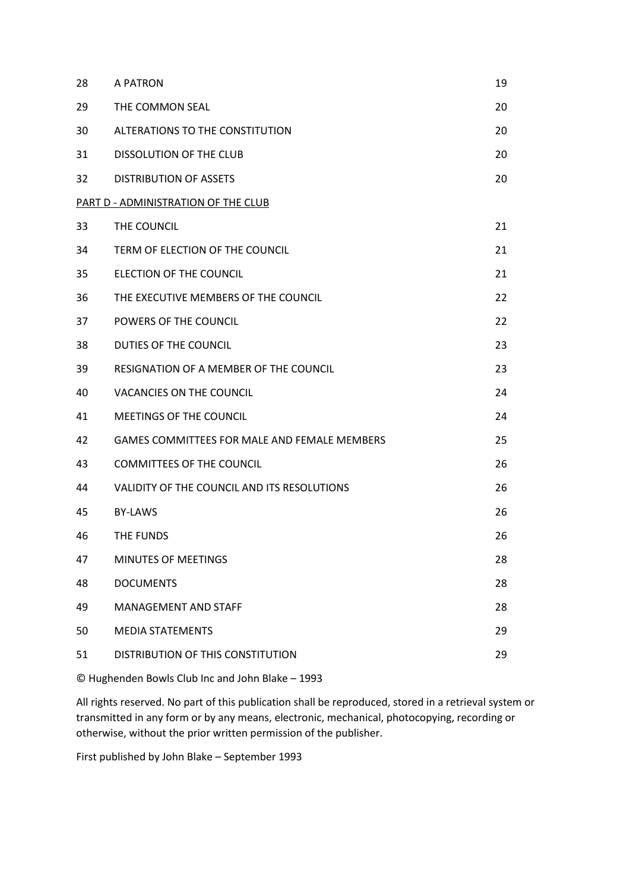| 28 | A PATRON                                            | 19 |
|----|-----------------------------------------------------|----|
| 29 | THE COMMON SEAL                                     | 20 |
| 30 | ALTERATIONS TO THE CONSTITUTION                     | 20 |
| 31 | DISSOLUTION OF THE CLUB                             | 20 |
| 32 | <b>DISTRIBUTION OF ASSETS</b>                       | 20 |
|    | PART D - ADMINISTRATION OF THE CLUB                 |    |
| 33 | THE COUNCIL                                         | 21 |
| 34 | TERM OF ELECTION OF THE COUNCIL                     | 21 |
| 35 | ELECTION OF THE COUNCIL                             | 21 |
| 36 | THE EXECUTIVE MEMBERS OF THE COUNCIL                | 22 |
| 37 | POWERS OF THE COUNCIL                               | 22 |
| 38 | DUTIES OF THE COUNCIL                               | 23 |
| 39 | <b>RESIGNATION OF A MEMBER OF THE COUNCIL</b>       | 23 |
| 40 | VACANCIES ON THE COUNCIL                            | 24 |
| 41 | MEETINGS OF THE COUNCIL                             | 24 |
| 42 | <b>GAMES COMMITTEES FOR MALE AND FEMALE MEMBERS</b> | 25 |
| 43 | <b>COMMITTEES OF THE COUNCIL</b>                    | 26 |
| 44 | VALIDITY OF THE COUNCIL AND ITS RESOLUTIONS         | 26 |
| 45 | BY-LAWS                                             | 26 |
| 46 | THE FUNDS                                           | 26 |
| 47 | MINUTES OF MEETINGS                                 | 28 |
| 48 | <b>DOCUMENTS</b>                                    | 28 |
| 49 | MANAGEMENT AND STAFF                                | 28 |
| 50 | <b>MEDIA STATEMENTS</b>                             | 29 |
| 51 | DISTRIBUTION OF THIS CONSTITUTION                   | 29 |

© Hughenden Bowls Club Inc and John Blake – 1993

All rights reserved. No part of this publication shall be reproduced, stored in a retrieval system or transmitted in any form or by any means, electronic, mechanical, photocopying, recording or otherwise, without the prior written permission of the publisher.

First published by John Blake – September 1993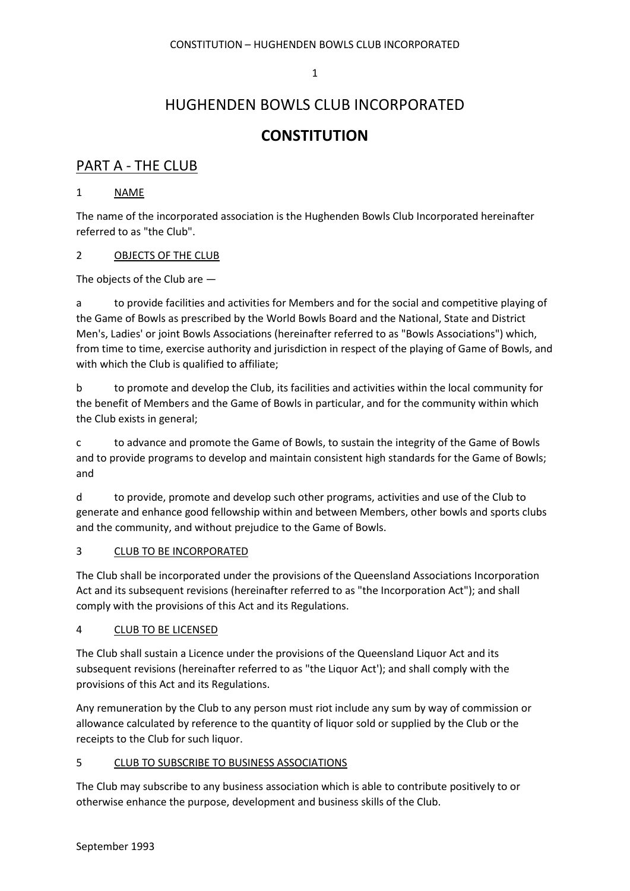## HUGHENDEN BOWLS CLUB INCORPORATED

## **CONSTITUTION**

## PART A - THE CLUB

#### 1 NAME

The name of the incorporated association is the Hughenden Bowls Club Incorporated hereinafter referred to as "the Club".

#### 2 OBJECTS OF THE CLUB

The objects of the Club are —

a to provide facilities and activities for Members and for the social and competitive playing of the Game of Bowls as prescribed by the World Bowls Board and the National, State and District Men's, Ladies' or joint Bowls Associations (hereinafter referred to as "Bowls Associations") which, from time to time, exercise authority and jurisdiction in respect of the playing of Game of Bowls, and with which the Club is qualified to affiliate;

b to promote and develop the Club, its facilities and activities within the local community for the benefit of Members and the Game of Bowls in particular, and for the community within which the Club exists in general;

c to advance and promote the Game of Bowls, to sustain the integrity of the Game of Bowls and to provide programs to develop and maintain consistent high standards for the Game of Bowls; and

d to provide, promote and develop such other programs, activities and use of the Club to generate and enhance good fellowship within and between Members, other bowls and sports clubs and the community, and without prejudice to the Game of Bowls.

#### 3 CLUB TO BE INCORPORATED

The Club shall be incorporated under the provisions of the Queensland Associations Incorporation Act and its subsequent revisions (hereinafter referred to as "the Incorporation Act"); and shall comply with the provisions of this Act and its Regulations.

#### 4 CLUB TO BE LICENSED

The Club shall sustain a Licence under the provisions of the Queensland Liquor Act and its subsequent revisions (hereinafter referred to as "the Liquor Act'); and shall comply with the provisions of this Act and its Regulations.

Any remuneration by the Club to any person must riot include any sum by way of commission or allowance calculated by reference to the quantity of liquor sold or supplied by the Club or the receipts to the Club for such liquor.

#### 5 CLUB TO SUBSCRIBE TO BUSINESS ASSOCIATIONS

The Club may subscribe to any business association which is able to contribute positively to or otherwise enhance the purpose, development and business skills of the Club.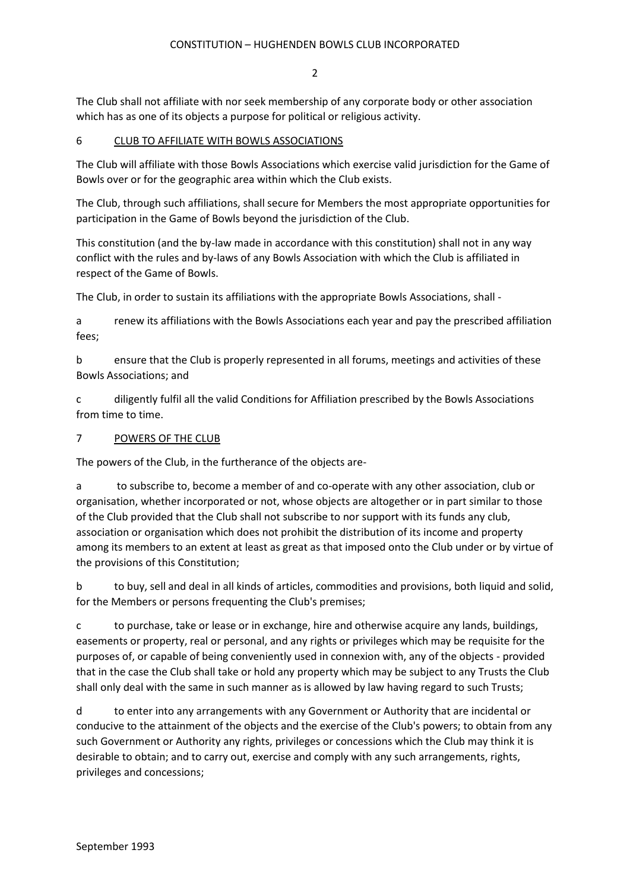The Club shall not affiliate with nor seek membership of any corporate body or other association which has as one of its objects a purpose for political or religious activity.

#### 6 CLUB TO AFFILIATE WITH BOWLS ASSOCIATIONS

The Club will affiliate with those Bowls Associations which exercise valid jurisdiction for the Game of Bowls over or for the geographic area within which the Club exists.

The Club, through such affiliations, shall secure for Members the most appropriate opportunities for participation in the Game of Bowls beyond the jurisdiction of the Club.

This constitution (and the by-law made in accordance with this constitution) shall not in any way conflict with the rules and by-laws of any Bowls Association with which the Club is affiliated in respect of the Game of Bowls.

The Club, in order to sustain its affiliations with the appropriate Bowls Associations, shall -

a renew its affiliations with the Bowls Associations each year and pay the prescribed affiliation fees;

b ensure that the Club is properly represented in all forums, meetings and activities of these Bowls Associations; and

c diligently fulfil all the valid Conditions for Affiliation prescribed by the Bowls Associations from time to time.

#### 7 POWERS OF THE CLUB

The powers of the Club, in the furtherance of the objects are-

a to subscribe to, become a member of and co-operate with any other association, club or organisation, whether incorporated or not, whose objects are altogether or in part similar to those of the Club provided that the Club shall not subscribe to nor support with its funds any club, association or organisation which does not prohibit the distribution of its income and property among its members to an extent at least as great as that imposed onto the Club under or by virtue of the provisions of this Constitution;

b to buy, sell and deal in all kinds of articles, commodities and provisions, both liquid and solid, for the Members or persons frequenting the Club's premises;

c to purchase, take or lease or in exchange, hire and otherwise acquire any lands, buildings, easements or property, real or personal, and any rights or privileges which may be requisite for the purposes of, or capable of being conveniently used in connexion with, any of the objects - provided that in the case the Club shall take or hold any property which may be subject to any Trusts the Club shall only deal with the same in such manner as is allowed by law having regard to such Trusts;

d to enter into any arrangements with any Government or Authority that are incidental or conducive to the attainment of the objects and the exercise of the Club's powers; to obtain from any such Government or Authority any rights, privileges or concessions which the Club may think it is desirable to obtain; and to carry out, exercise and comply with any such arrangements, rights, privileges and concessions;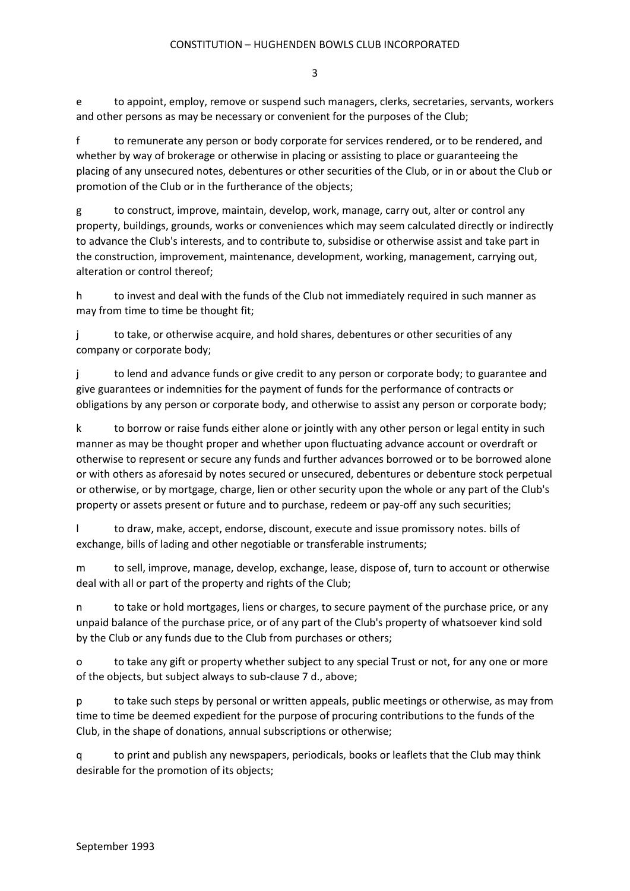e to appoint, employ, remove or suspend such managers, clerks, secretaries, servants, workers and other persons as may be necessary or convenient for the purposes of the Club;

f to remunerate any person or body corporate for services rendered, or to be rendered, and whether by way of brokerage or otherwise in placing or assisting to place or guaranteeing the placing of any unsecured notes, debentures or other securities of the Club, or in or about the Club or promotion of the Club or in the furtherance of the objects;

g to construct, improve, maintain, develop, work, manage, carry out, alter or control any property, buildings, grounds, works or conveniences which may seem calculated directly or indirectly to advance the Club's interests, and to contribute to, subsidise or otherwise assist and take part in the construction, improvement, maintenance, development, working, management, carrying out, alteration or control thereof;

h to invest and deal with the funds of the Club not immediately required in such manner as may from time to time be thought fit;

j to take, or otherwise acquire, and hold shares, debentures or other securities of any company or corporate body;

j to lend and advance funds or give credit to any person or corporate body; to guarantee and give guarantees or indemnities for the payment of funds for the performance of contracts or obligations by any person or corporate body, and otherwise to assist any person or corporate body;

k to borrow or raise funds either alone or jointly with any other person or legal entity in such manner as may be thought proper and whether upon fluctuating advance account or overdraft or otherwise to represent or secure any funds and further advances borrowed or to be borrowed alone or with others as aforesaid by notes secured or unsecured, debentures or debenture stock perpetual or otherwise, or by mortgage, charge, lien or other security upon the whole or any part of the Club's property or assets present or future and to purchase, redeem or pay-off any such securities;

l to draw, make, accept, endorse, discount, execute and issue promissory notes. bills of exchange, bills of lading and other negotiable or transferable instruments;

m to sell, improve, manage, develop, exchange, lease, dispose of, turn to account or otherwise deal with all or part of the property and rights of the Club;

n to take or hold mortgages, liens or charges, to secure payment of the purchase price, or any unpaid balance of the purchase price, or of any part of the Club's property of whatsoever kind sold by the Club or any funds due to the Club from purchases or others;

o to take any gift or property whether subject to any special Trust or not, for any one or more of the objects, but subject always to sub-clause 7 d., above;

p to take such steps by personal or written appeals, public meetings or otherwise, as may from time to time be deemed expedient for the purpose of procuring contributions to the funds of the Club, in the shape of donations, annual subscriptions or otherwise;

q to print and publish any newspapers, periodicals, books or leaflets that the Club may think desirable for the promotion of its objects;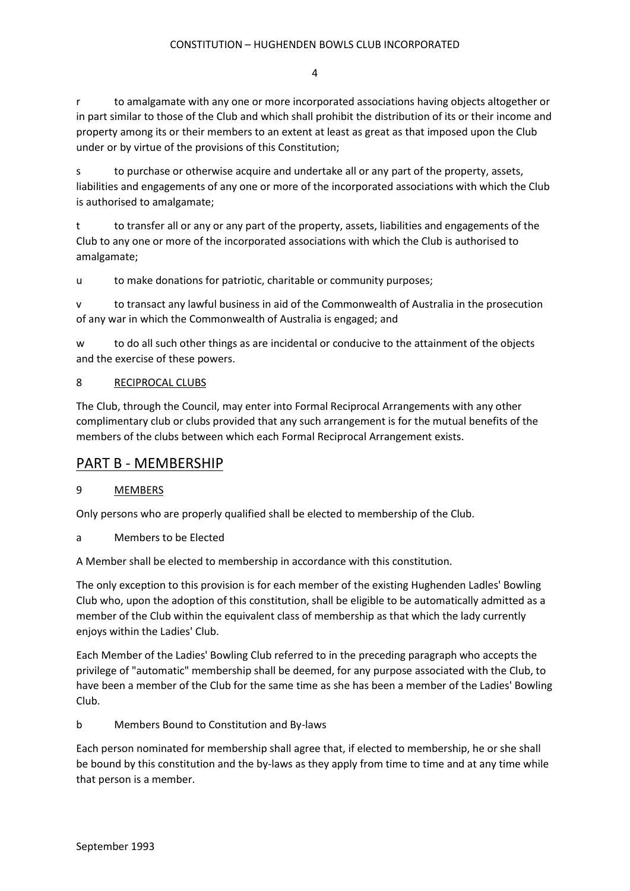r to amalgamate with any one or more incorporated associations having objects altogether or in part similar to those of the Club and which shall prohibit the distribution of its or their income and property among its or their members to an extent at least as great as that imposed upon the Club under or by virtue of the provisions of this Constitution;

s to purchase or otherwise acquire and undertake all or any part of the property, assets, liabilities and engagements of any one or more of the incorporated associations with which the Club is authorised to amalgamate;

t to transfer all or any or any part of the property, assets, liabilities and engagements of the Club to any one or more of the incorporated associations with which the Club is authorised to amalgamate;

u to make donations for patriotic, charitable or community purposes;

v to transact any lawful business in aid of the Commonwealth of Australia in the prosecution of any war in which the Commonwealth of Australia is engaged; and

w to do all such other things as are incidental or conducive to the attainment of the objects and the exercise of these powers.

#### 8 RECIPROCAL CLUBS

The Club, through the Council, may enter into Formal Reciprocal Arrangements with any other complimentary club or clubs provided that any such arrangement is for the mutual benefits of the members of the clubs between which each Formal Reciprocal Arrangement exists.

### PART B - MEMBERSHIP

#### 9 MEMBERS

Only persons who are properly qualified shall be elected to membership of the Club.

a Members to be Elected

A Member shall be elected to membership in accordance with this constitution.

The only exception to this provision is for each member of the existing Hughenden Ladles' Bowling Club who, upon the adoption of this constitution, shall be eligible to be automatically admitted as a member of the Club within the equivalent class of membership as that which the lady currently enjoys within the Ladies' Club.

Each Member of the Ladies' Bowling Club referred to in the preceding paragraph who accepts the privilege of "automatic" membership shall be deemed, for any purpose associated with the Club, to have been a member of the Club for the same time as she has been a member of the Ladies' Bowling Club.

b Members Bound to Constitution and By-laws

Each person nominated for membership shall agree that, if elected to membership, he or she shall be bound by this constitution and the by-laws as they apply from time to time and at any time while that person is a member.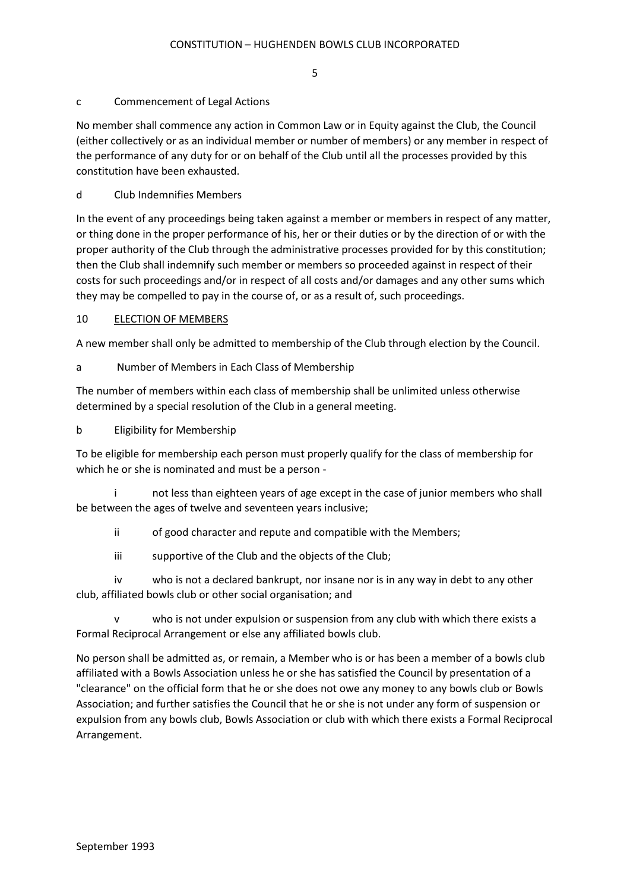#### c Commencement of Legal Actions

No member shall commence any action in Common Law or in Equity against the Club, the Council (either collectively or as an individual member or number of members) or any member in respect of the performance of any duty for or on behalf of the Club until all the processes provided by this constitution have been exhausted.

#### d Club Indemnifies Members

In the event of any proceedings being taken against a member or members in respect of any matter, or thing done in the proper performance of his, her or their duties or by the direction of or with the proper authority of the Club through the administrative processes provided for by this constitution; then the Club shall indemnify such member or members so proceeded against in respect of their costs for such proceedings and/or in respect of all costs and/or damages and any other sums which they may be compelled to pay in the course of, or as a result of, such proceedings.

#### 10 ELECTION OF MEMBERS

A new member shall only be admitted to membership of the Club through election by the Council.

a Number of Members in Each Class of Membership

The number of members within each class of membership shall be unlimited unless otherwise determined by a special resolution of the Club in a general meeting.

b Eligibility for Membership

To be eligible for membership each person must properly qualify for the class of membership for which he or she is nominated and must be a person -

not less than eighteen years of age except in the case of junior members who shall be between the ages of twelve and seventeen years inclusive;

ii of good character and repute and compatible with the Members;

iii supportive of the Club and the objects of the Club;

iv who is not a declared bankrupt, nor insane nor is in any way in debt to any other club, affiliated bowls club or other social organisation; and

v who is not under expulsion or suspension from any club with which there exists a Formal Reciprocal Arrangement or else any affiliated bowls club.

No person shall be admitted as, or remain, a Member who is or has been a member of a bowls club affiliated with a Bowls Association unless he or she has satisfied the Council by presentation of a "clearance" on the official form that he or she does not owe any money to any bowls club or Bowls Association; and further satisfies the Council that he or she is not under any form of suspension or expulsion from any bowls club, Bowls Association or club with which there exists a Formal Reciprocal Arrangement.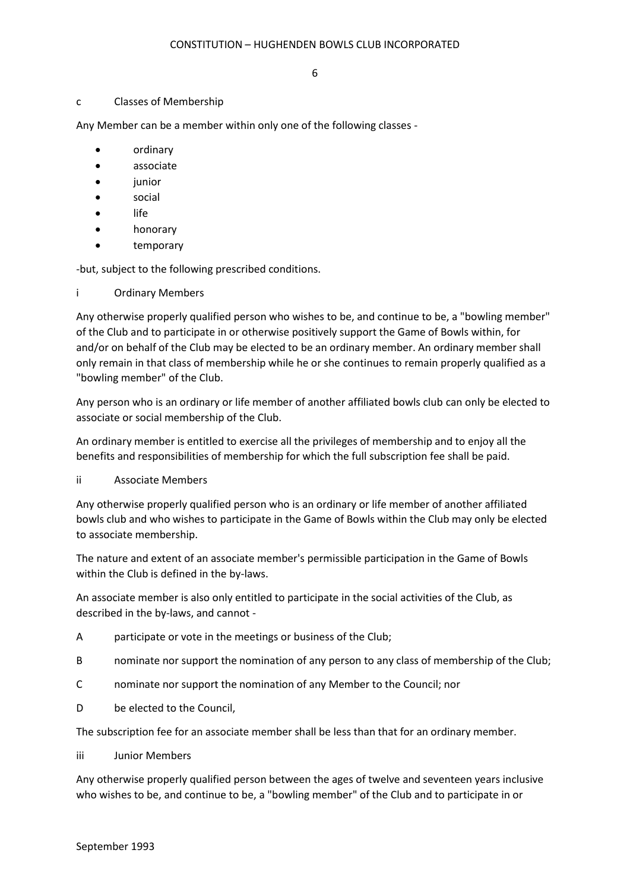#### c Classes of Membership

Any Member can be a member within only one of the following classes -

- ordinary
- associate
- iunior
- social
- life
- honorary
- temporary

-but, subject to the following prescribed conditions.

i Ordinary Members

Any otherwise properly qualified person who wishes to be, and continue to be, a "bowling member" of the Club and to participate in or otherwise positively support the Game of Bowls within, for and/or on behalf of the Club may be elected to be an ordinary member. An ordinary member shall only remain in that class of membership while he or she continues to remain properly qualified as a "bowling member" of the Club.

Any person who is an ordinary or life member of another affiliated bowls club can only be elected to associate or social membership of the Club.

An ordinary member is entitled to exercise all the privileges of membership and to enjoy all the benefits and responsibilities of membership for which the full subscription fee shall be paid.

ii Associate Members

Any otherwise properly qualified person who is an ordinary or life member of another affiliated bowls club and who wishes to participate in the Game of Bowls within the Club may only be elected to associate membership.

The nature and extent of an associate member's permissible participation in the Game of Bowls within the Club is defined in the by-laws.

An associate member is also only entitled to participate in the social activities of the Club, as described in the by-laws, and cannot -

- A participate or vote in the meetings or business of the Club;
- B nominate nor support the nomination of any person to any class of membership of the Club;
- C nominate nor support the nomination of any Member to the Council; nor
- D be elected to the Council.

The subscription fee for an associate member shall be less than that for an ordinary member.

iii Junior Members

Any otherwise properly qualified person between the ages of twelve and seventeen years inclusive who wishes to be, and continue to be, a "bowling member" of the Club and to participate in or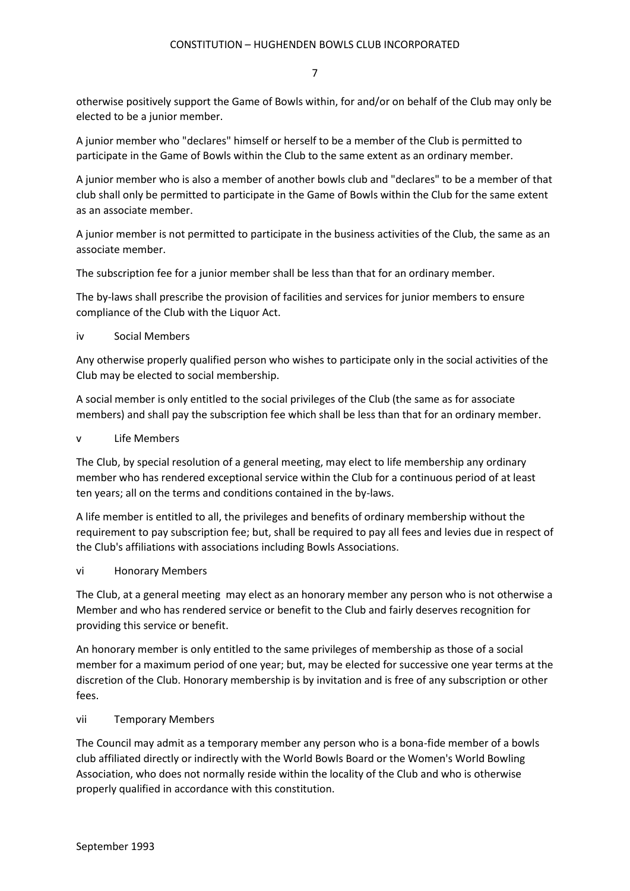otherwise positively support the Game of Bowls within, for and/or on behalf of the Club may only be elected to be a junior member.

A junior member who "declares" himself or herself to be a member of the Club is permitted to participate in the Game of Bowls within the Club to the same extent as an ordinary member.

A junior member who is also a member of another bowls club and "declares" to be a member of that club shall only be permitted to participate in the Game of Bowls within the Club for the same extent as an associate member.

A junior member is not permitted to participate in the business activities of the Club, the same as an associate member.

The subscription fee for a junior member shall be less than that for an ordinary member.

The by-laws shall prescribe the provision of facilities and services for junior members to ensure compliance of the Club with the Liquor Act.

#### iv Social Members

Any otherwise properly qualified person who wishes to participate only in the social activities of the Club may be elected to social membership.

A social member is only entitled to the social privileges of the Club (the same as for associate members) and shall pay the subscription fee which shall be less than that for an ordinary member.

#### v Life Members

The Club, by special resolution of a general meeting, may elect to life membership any ordinary member who has rendered exceptional service within the Club for a continuous period of at least ten years; all on the terms and conditions contained in the by-laws.

A life member is entitled to all, the privileges and benefits of ordinary membership without the requirement to pay subscription fee; but, shall be required to pay all fees and levies due in respect of the Club's affiliations with associations including Bowls Associations.

#### vi Honorary Members

The Club, at a general meeting may elect as an honorary member any person who is not otherwise a Member and who has rendered service or benefit to the Club and fairly deserves recognition for providing this service or benefit.

An honorary member is only entitled to the same privileges of membership as those of a social member for a maximum period of one year; but, may be elected for successive one year terms at the discretion of the Club. Honorary membership is by invitation and is free of any subscription or other fees.

#### vii Temporary Members

The Council may admit as a temporary member any person who is a bona-fide member of a bowls club affiliated directly or indirectly with the World Bowls Board or the Women's World Bowling Association, who does not normally reside within the locality of the Club and who is otherwise properly qualified in accordance with this constitution.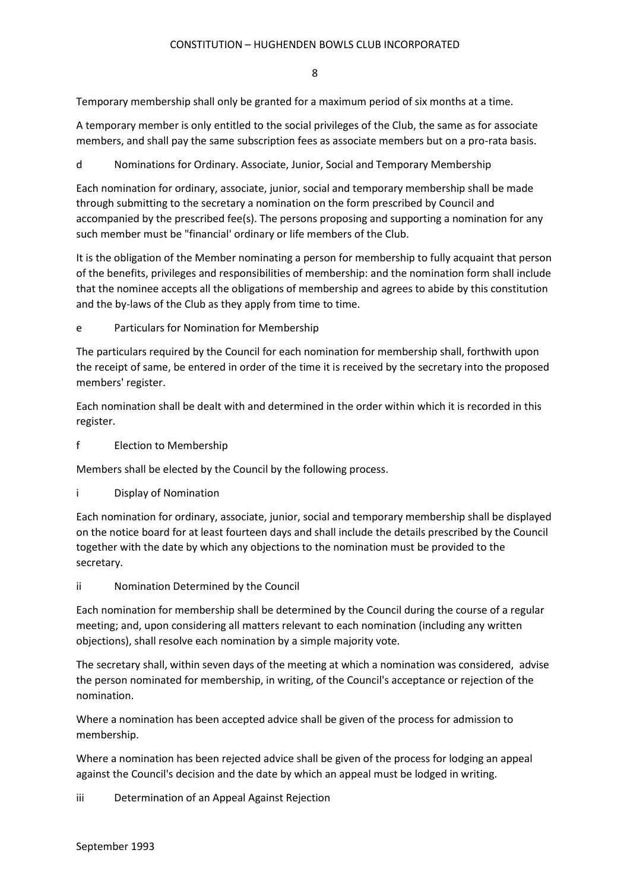Temporary membership shall only be granted for a maximum period of six months at a time.

A temporary member is only entitled to the social privileges of the Club, the same as for associate members, and shall pay the same subscription fees as associate members but on a pro-rata basis.

#### d Nominations for Ordinary. Associate, Junior, Social and Temporary Membership

Each nomination for ordinary, associate, junior, social and temporary membership shall be made through submitting to the secretary a nomination on the form prescribed by Council and accompanied by the prescribed fee(s). The persons proposing and supporting a nomination for any such member must be "financial' ordinary or life members of the Club.

It is the obligation of the Member nominating a person for membership to fully acquaint that person of the benefits, privileges and responsibilities of membership: and the nomination form shall include that the nominee accepts all the obligations of membership and agrees to abide by this constitution and the by-laws of the Club as they apply from time to time.

#### e Particulars for Nomination for Membership

The particulars required by the Council for each nomination for membership shall, forthwith upon the receipt of same, be entered in order of the time it is received by the secretary into the proposed members' register.

Each nomination shall be dealt with and determined in the order within which it is recorded in this register.

f Election to Membership

Members shall be elected by the Council by the following process.

i Display of Nomination

Each nomination for ordinary, associate, junior, social and temporary membership shall be displayed on the notice board for at least fourteen days and shall include the details prescribed by the Council together with the date by which any objections to the nomination must be provided to the secretary.

#### ii Nomination Determined by the Council

Each nomination for membership shall be determined by the Council during the course of a regular meeting; and, upon considering all matters relevant to each nomination (including any written objections), shall resolve each nomination by a simple majority vote.

The secretary shall, within seven days of the meeting at which a nomination was considered, advise the person nominated for membership, in writing, of the Council's acceptance or rejection of the nomination.

Where a nomination has been accepted advice shall be given of the process for admission to membership.

Where a nomination has been rejected advice shall be given of the process for lodging an appeal against the Council's decision and the date by which an appeal must be lodged in writing.

iii Determination of an Appeal Against Rejection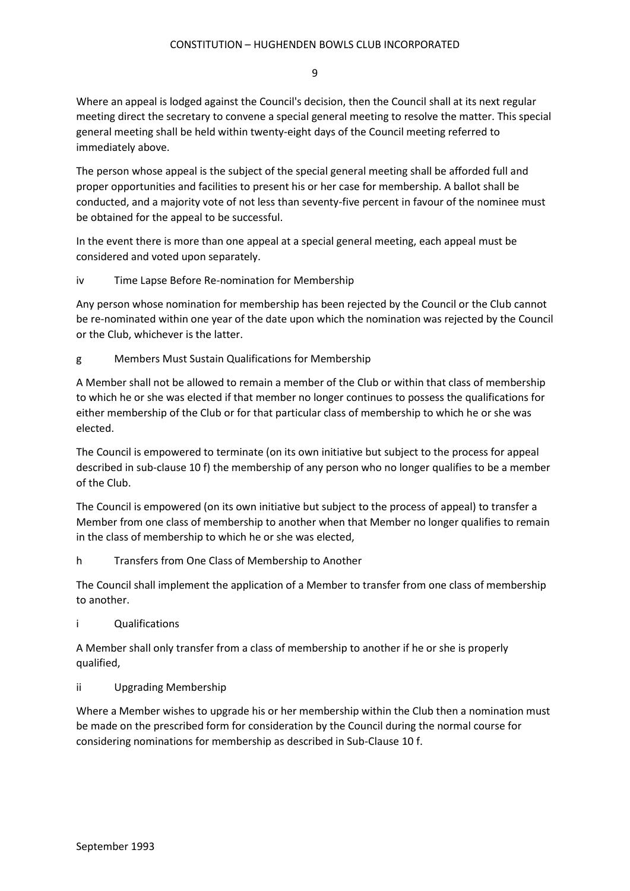Where an appeal is lodged against the Council's decision, then the Council shall at its next regular meeting direct the secretary to convene a special general meeting to resolve the matter. This special general meeting shall be held within twenty-eight days of the Council meeting referred to immediately above.

The person whose appeal is the subject of the special general meeting shall be afforded full and proper opportunities and facilities to present his or her case for membership. A ballot shall be conducted, and a majority vote of not less than seventy-five percent in favour of the nominee must be obtained for the appeal to be successful.

In the event there is more than one appeal at a special general meeting, each appeal must be considered and voted upon separately.

#### iv Time Lapse Before Re-nomination for Membership

Any person whose nomination for membership has been rejected by the Council or the Club cannot be re-nominated within one year of the date upon which the nomination was rejected by the Council or the Club, whichever is the latter.

g Members Must Sustain Qualifications for Membership

A Member shall not be allowed to remain a member of the Club or within that class of membership to which he or she was elected if that member no longer continues to possess the qualifications for either membership of the Club or for that particular class of membership to which he or she was elected.

The Council is empowered to terminate (on its own initiative but subject to the process for appeal described in sub-clause 10 f) the membership of any person who no longer qualifies to be a member of the Club.

The Council is empowered (on its own initiative but subject to the process of appeal) to transfer a Member from one class of membership to another when that Member no longer qualifies to remain in the class of membership to which he or she was elected,

h Transfers from One Class of Membership to Another

The Council shall implement the application of a Member to transfer from one class of membership to another.

i Qualifications

A Member shall only transfer from a class of membership to another if he or she is properly qualified,

#### ii Upgrading Membership

Where a Member wishes to upgrade his or her membership within the Club then a nomination must be made on the prescribed form for consideration by the Council during the normal course for considering nominations for membership as described in Sub-Clause 10 f.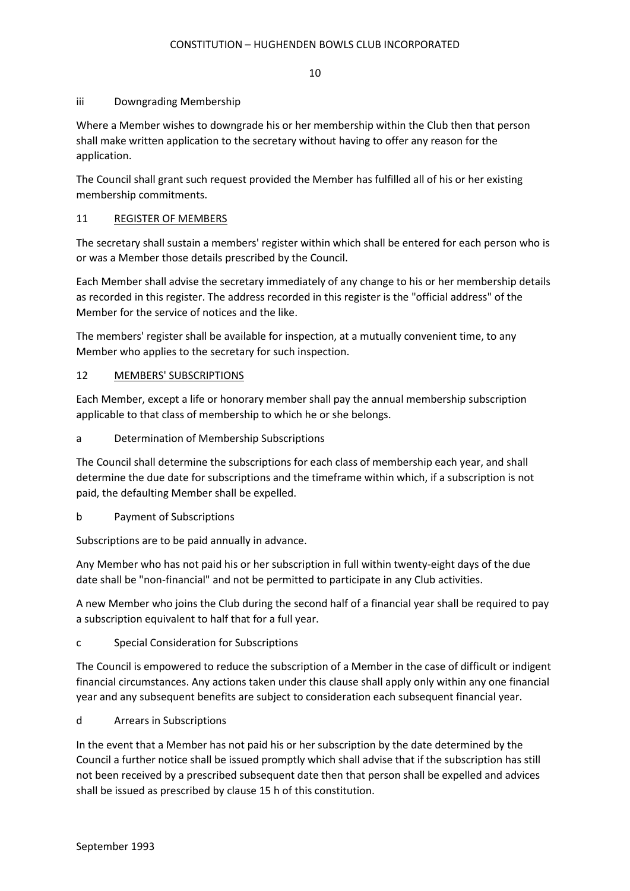#### iii Downgrading Membership

Where a Member wishes to downgrade his or her membership within the Club then that person shall make written application to the secretary without having to offer any reason for the application.

The Council shall grant such request provided the Member has fulfilled all of his or her existing membership commitments.

#### 11 REGISTER OF MEMBERS

The secretary shall sustain a members' register within which shall be entered for each person who is or was a Member those details prescribed by the Council.

Each Member shall advise the secretary immediately of any change to his or her membership details as recorded in this register. The address recorded in this register is the "official address" of the Member for the service of notices and the like.

The members' register shall be available for inspection, at a mutually convenient time, to any Member who applies to the secretary for such inspection.

#### 12 MEMBERS' SUBSCRIPTIONS

Each Member, except a life or honorary member shall pay the annual membership subscription applicable to that class of membership to which he or she belongs.

#### a Determination of Membership Subscriptions

The Council shall determine the subscriptions for each class of membership each year, and shall determine the due date for subscriptions and the timeframe within which, if a subscription is not paid, the defaulting Member shall be expelled.

#### b Payment of Subscriptions

Subscriptions are to be paid annually in advance.

Any Member who has not paid his or her subscription in full within twenty-eight days of the due date shall be "non-financial" and not be permitted to participate in any Club activities.

A new Member who joins the Club during the second half of a financial year shall be required to pay a subscription equivalent to half that for a full year.

#### c Special Consideration for Subscriptions

The Council is empowered to reduce the subscription of a Member in the case of difficult or indigent financial circumstances. Any actions taken under this clause shall apply only within any one financial year and any subsequent benefits are subject to consideration each subsequent financial year.

d Arrears in Subscriptions

In the event that a Member has not paid his or her subscription by the date determined by the Council a further notice shall be issued promptly which shall advise that if the subscription has still not been received by a prescribed subsequent date then that person shall be expelled and advices shall be issued as prescribed by clause 15 h of this constitution.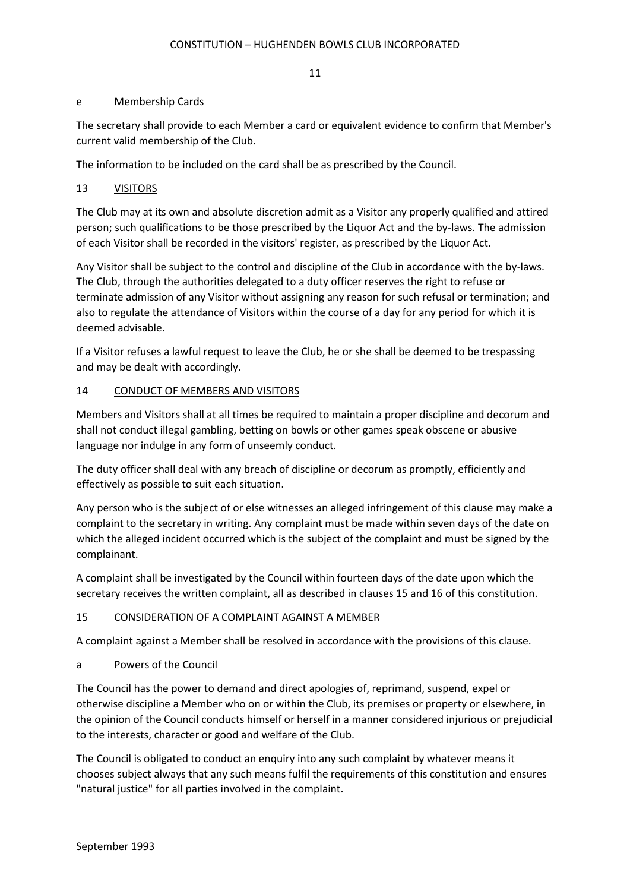#### e Membership Cards

The secretary shall provide to each Member a card or equivalent evidence to confirm that Member's current valid membership of the Club.

The information to be included on the card shall be as prescribed by the Council.

#### 13 VISITORS

The Club may at its own and absolute discretion admit as a Visitor any properly qualified and attired person; such qualifications to be those prescribed by the Liquor Act and the by-laws. The admission of each Visitor shall be recorded in the visitors' register, as prescribed by the Liquor Act.

Any Visitor shall be subject to the control and discipline of the Club in accordance with the by-laws. The Club, through the authorities delegated to a duty officer reserves the right to refuse or terminate admission of any Visitor without assigning any reason for such refusal or termination; and also to regulate the attendance of Visitors within the course of a day for any period for which it is deemed advisable.

If a Visitor refuses a lawful request to leave the Club, he or she shall be deemed to be trespassing and may be dealt with accordingly.

#### 14 CONDUCT OF MEMBERS AND VISITORS

Members and Visitors shall at all times be required to maintain a proper discipline and decorum and shall not conduct illegal gambling, betting on bowls or other games speak obscene or abusive language nor indulge in any form of unseemly conduct.

The duty officer shall deal with any breach of discipline or decorum as promptly, efficiently and effectively as possible to suit each situation.

Any person who is the subject of or else witnesses an alleged infringement of this clause may make a complaint to the secretary in writing. Any complaint must be made within seven days of the date on which the alleged incident occurred which is the subject of the complaint and must be signed by the complainant.

A complaint shall be investigated by the Council within fourteen days of the date upon which the secretary receives the written complaint, all as described in clauses 15 and 16 of this constitution.

#### 15 CONSIDERATION OF A COMPLAINT AGAINST A MEMBER

A complaint against a Member shall be resolved in accordance with the provisions of this clause.

a Powers of the Council

The Council has the power to demand and direct apologies of, reprimand, suspend, expel or otherwise discipline a Member who on or within the Club, its premises or property or elsewhere, in the opinion of the Council conducts himself or herself in a manner considered injurious or prejudicial to the interests, character or good and welfare of the Club.

The Council is obligated to conduct an enquiry into any such complaint by whatever means it chooses subject always that any such means fulfil the requirements of this constitution and ensures "natural justice" for all parties involved in the complaint.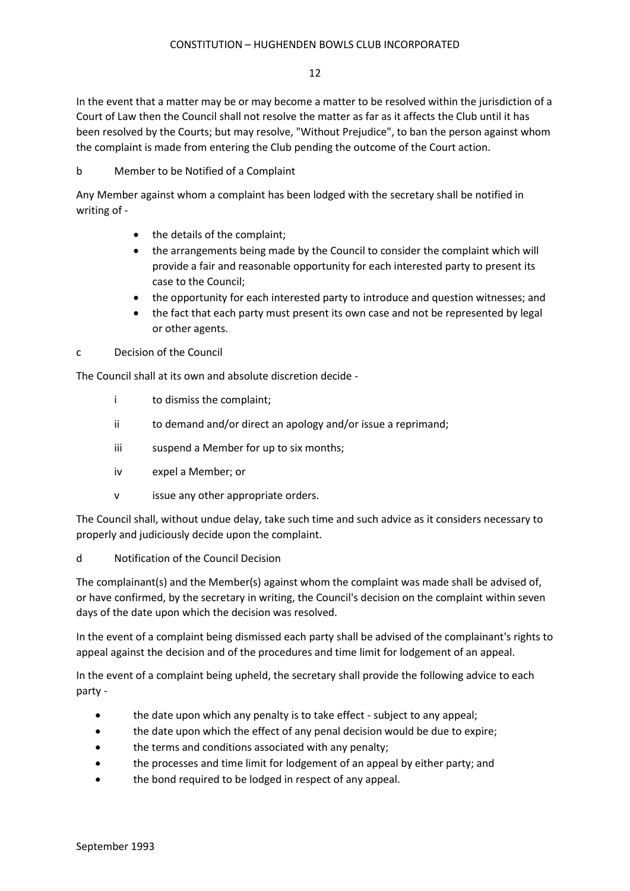In the event that a matter may be or may become a matter to be resolved within the jurisdiction of a Court of Law then the Council shall not resolve the matter as far as it affects the Club until it has been resolved by the Courts; but may resolve, "Without Prejudice", to ban the person against whom the complaint is made from entering the Club pending the outcome of the Court action.

#### b Member to be Notified of a Complaint

Any Member against whom a complaint has been lodged with the secretary shall be notified in writing of -

- the details of the complaint;
- the arrangements being made by the Council to consider the complaint which will provide a fair and reasonable opportunity for each interested party to present its case to the Council;
- the opportunity for each interested party to introduce and question witnesses; and
- the fact that each party must present its own case and not be represented by legal or other agents.
- c Decision of the Council

The Council shall at its own and absolute discretion decide -

- i to dismiss the complaint;
- ii to demand and/or direct an apology and/or issue a reprimand;
- iii suspend a Member for up to six months;
- iv expel a Member; or
- v issue any other appropriate orders.

The Council shall, without undue delay, take such time and such advice as it considers necessary to properly and judiciously decide upon the complaint.

#### d Notification of the Council Decision

The complainant(s) and the Member(s) against whom the complaint was made shall be advised of, or have confirmed, by the secretary in writing, the Council's decision on the complaint within seven days of the date upon which the decision was resolved.

In the event of a complaint being dismissed each party shall be advised of the complainant's rights to appeal against the decision and of the procedures and time limit for lodgement of an appeal.

In the event of a complaint being upheld, the secretary shall provide the following advice to each party -

- the date upon which any penalty is to take effect subject to any appeal;
- the date upon which the effect of any penal decision would be due to expire;
- the terms and conditions associated with any penalty;
- the processes and time limit for lodgement of an appeal by either party; and
- the bond required to be lodged in respect of any appeal.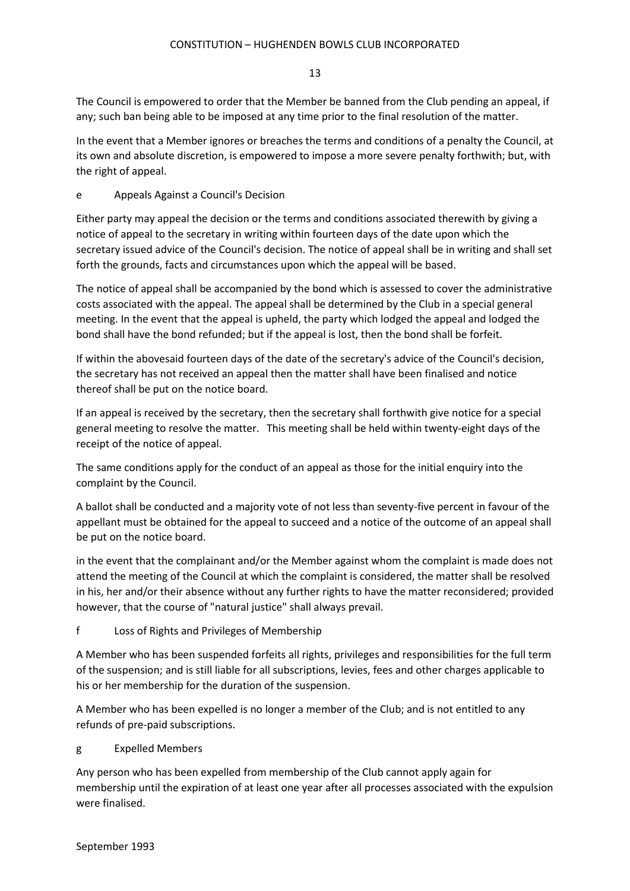The Council is empowered to order that the Member be banned from the Club pending an appeal, if any; such ban being able to be imposed at any time prior to the final resolution of the matter.

In the event that a Member ignores or breaches the terms and conditions of a penalty the Council, at its own and absolute discretion, is empowered to impose a more severe penalty forthwith; but, with the right of appeal.

#### e Appeals Against a Council's Decision

Either party may appeal the decision or the terms and conditions associated therewith by giving a notice of appeal to the secretary in writing within fourteen days of the date upon which the secretary issued advice of the Council's decision. The notice of appeal shall be in writing and shall set forth the grounds, facts and circumstances upon which the appeal will be based.

The notice of appeal shall be accompanied by the bond which is assessed to cover the administrative costs associated with the appeal. The appeal shall be determined by the Club in a special general meeting. In the event that the appeal is upheld, the party which lodged the appeal and lodged the bond shall have the bond refunded; but if the appeal is lost, then the bond shall be forfeit.

If within the abovesaid fourteen days of the date of the secretary's advice of the Council's decision, the secretary has not received an appeal then the matter shall have been finalised and notice thereof shall be put on the notice board.

If an appeal is received by the secretary, then the secretary shall forthwith give notice for a special general meeting to resolve the matter. This meeting shall be held within twenty-eight days of the receipt of the notice of appeal.

The same conditions apply for the conduct of an appeal as those for the initial enquiry into the complaint by the Council.

A ballot shall be conducted and a majority vote of not less than seventy-five percent in favour of the appellant must be obtained for the appeal to succeed and a notice of the outcome of an appeal shall be put on the notice board.

in the event that the complainant and/or the Member against whom the complaint is made does not attend the meeting of the Council at which the complaint is considered, the matter shall be resolved in his, her and/or their absence without any further rights to have the matter reconsidered; provided however, that the course of "natural justice" shall always prevail.

f Loss of Rights and Privileges of Membership

A Member who has been suspended forfeits all rights, privileges and responsibilities for the full term of the suspension; and is still liable for all subscriptions, levies, fees and other charges applicable to his or her membership for the duration of the suspension.

A Member who has been expelled is no longer a member of the Club; and is not entitled to any refunds of pre-paid subscriptions.

g Expelled Members

Any person who has been expelled from membership of the Club cannot apply again for membership until the expiration of at least one year after all processes associated with the expulsion were finalised.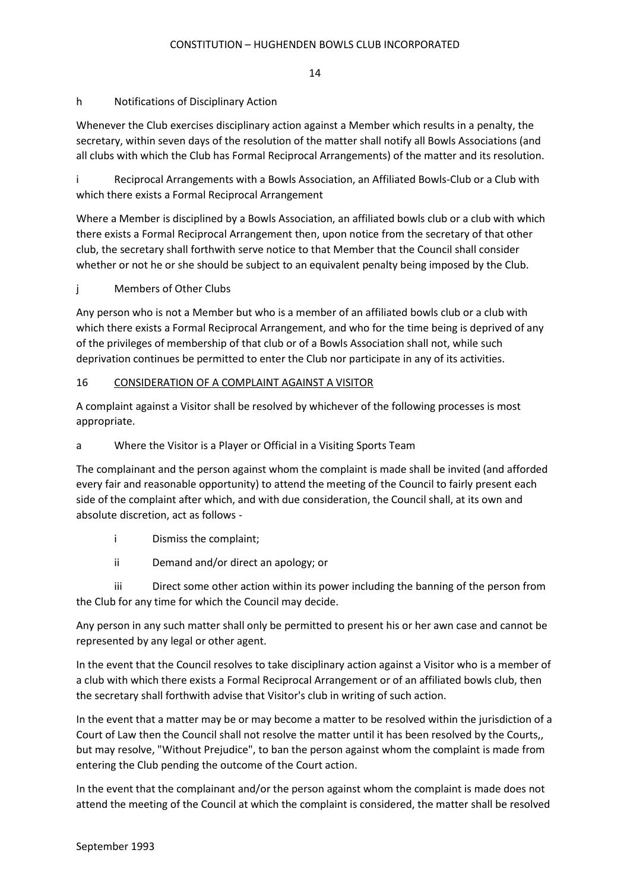#### h Notifications of Disciplinary Action

Whenever the Club exercises disciplinary action against a Member which results in a penalty, the secretary, within seven days of the resolution of the matter shall notify all Bowls Associations (and all clubs with which the Club has Formal Reciprocal Arrangements) of the matter and its resolution.

i Reciprocal Arrangements with a Bowls Association, an Affiliated Bowls-Club or a Club with which there exists a Formal Reciprocal Arrangement

Where a Member is disciplined by a Bowls Association, an affiliated bowls club or a club with which there exists a Formal Reciprocal Arrangement then, upon notice from the secretary of that other club, the secretary shall forthwith serve notice to that Member that the Council shall consider whether or not he or she should be subject to an equivalent penalty being imposed by the Club.

#### j Members of Other Clubs

Any person who is not a Member but who is a member of an affiliated bowls club or a club with which there exists a Formal Reciprocal Arrangement, and who for the time being is deprived of any of the privileges of membership of that club or of a Bowls Association shall not, while such deprivation continues be permitted to enter the Club nor participate in any of its activities.

#### 16 CONSIDERATION OF A COMPLAINT AGAINST A VISITOR

A complaint against a Visitor shall be resolved by whichever of the following processes is most appropriate.

#### a Where the Visitor is a Player or Official in a Visiting Sports Team

The complainant and the person against whom the complaint is made shall be invited (and afforded every fair and reasonable opportunity) to attend the meeting of the Council to fairly present each side of the complaint after which, and with due consideration, the Council shall, at its own and absolute discretion, act as follows -

i Dismiss the complaint;

ii Demand and/or direct an apology; or

iii Direct some other action within its power including the banning of the person from the Club for any time for which the Council may decide.

Any person in any such matter shall only be permitted to present his or her awn case and cannot be represented by any legal or other agent.

In the event that the Council resolves to take disciplinary action against a Visitor who is a member of a club with which there exists a Formal Reciprocal Arrangement or of an affiliated bowls club, then the secretary shall forthwith advise that Visitor's club in writing of such action.

In the event that a matter may be or may become a matter to be resolved within the jurisdiction of a Court of Law then the Council shall not resolve the matter until it has been resolved by the Courts,, but may resolve, "Without Prejudice", to ban the person against whom the complaint is made from entering the Club pending the outcome of the Court action.

In the event that the complainant and/or the person against whom the complaint is made does not attend the meeting of the Council at which the complaint is considered, the matter shall be resolved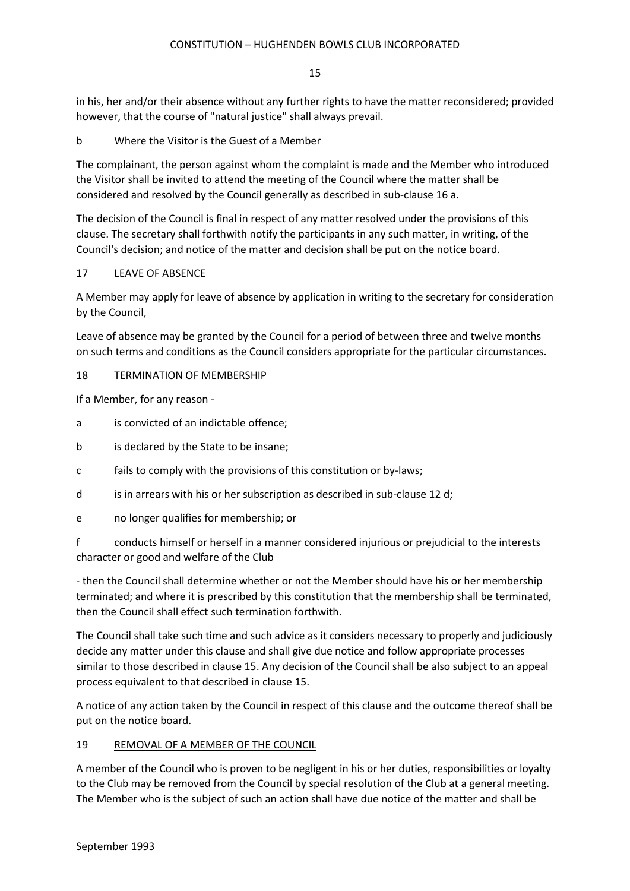in his, her and/or their absence without any further rights to have the matter reconsidered; provided however, that the course of "natural justice" shall always prevail.

#### b Where the Visitor is the Guest of a Member

The complainant, the person against whom the complaint is made and the Member who introduced the Visitor shall be invited to attend the meeting of the Council where the matter shall be considered and resolved by the Council generally as described in sub-clause 16 a.

The decision of the Council is final in respect of any matter resolved under the provisions of this clause. The secretary shall forthwith notify the participants in any such matter, in writing, of the Council's decision; and notice of the matter and decision shall be put on the notice board.

#### 17 LEAVE OF ABSENCE

A Member may apply for leave of absence by application in writing to the secretary for consideration by the Council,

Leave of absence may be granted by the Council for a period of between three and twelve months on such terms and conditions as the Council considers appropriate for the particular circumstances.

#### 18 TERMINATION OF MEMBERSHIP

If a Member, for any reason -

- a is convicted of an indictable offence;
- b is declared by the State to be insane;
- c fails to comply with the provisions of this constitution or by-laws;
- d is in arrears with his or her subscription as described in sub-clause 12 d;
- e no longer qualifies for membership; or

f conducts himself or herself in a manner considered injurious or prejudicial to the interests character or good and welfare of the Club

- then the Council shall determine whether or not the Member should have his or her membership terminated; and where it is prescribed by this constitution that the membership shall be terminated, then the Council shall effect such termination forthwith.

The Council shall take such time and such advice as it considers necessary to properly and judiciously decide any matter under this clause and shall give due notice and follow appropriate processes similar to those described in clause 15. Any decision of the Council shall be also subject to an appeal process equivalent to that described in clause 15.

A notice of any action taken by the Council in respect of this clause and the outcome thereof shall be put on the notice board.

#### 19 REMOVAL OF A MEMBER OF THE COUNCIL

A member of the Council who is proven to be negligent in his or her duties, responsibilities or loyalty to the Club may be removed from the Council by special resolution of the Club at a general meeting. The Member who is the subject of such an action shall have due notice of the matter and shall be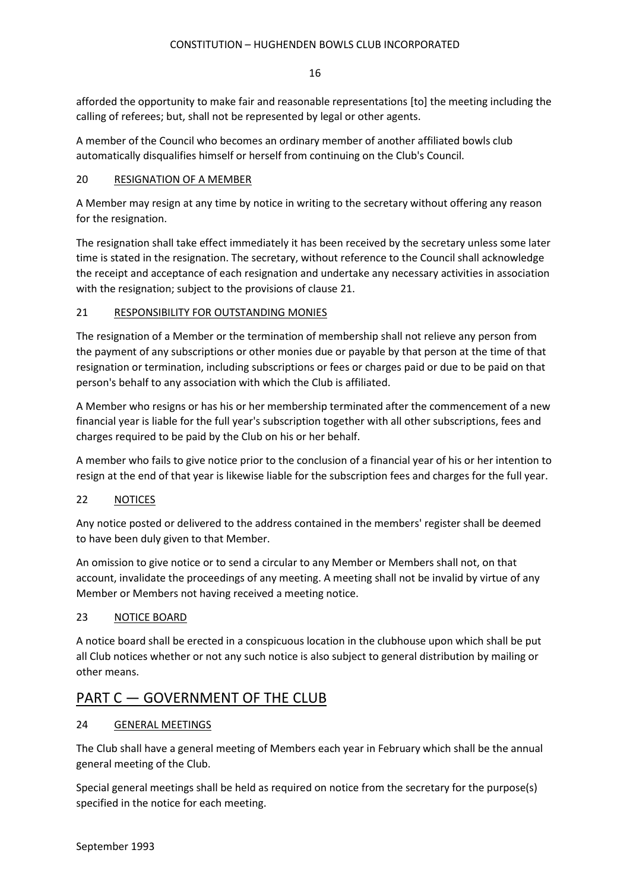afforded the opportunity to make fair and reasonable representations [to] the meeting including the calling of referees; but, shall not be represented by legal or other agents.

A member of the Council who becomes an ordinary member of another affiliated bowls club automatically disqualifies himself or herself from continuing on the Club's Council.

#### 20 RESIGNATION OF A MEMBER

A Member may resign at any time by notice in writing to the secretary without offering any reason for the resignation.

The resignation shall take effect immediately it has been received by the secretary unless some later time is stated in the resignation. The secretary, without reference to the Council shall acknowledge the receipt and acceptance of each resignation and undertake any necessary activities in association with the resignation; subject to the provisions of clause 21.

#### 21 RESPONSIBILITY FOR OUTSTANDING MONIES

The resignation of a Member or the termination of membership shall not relieve any person from the payment of any subscriptions or other monies due or payable by that person at the time of that resignation or termination, including subscriptions or fees or charges paid or due to be paid on that person's behalf to any association with which the Club is affiliated.

A Member who resigns or has his or her membership terminated after the commencement of a new financial year is liable for the full year's subscription together with all other subscriptions, fees and charges required to be paid by the Club on his or her behalf.

A member who fails to give notice prior to the conclusion of a financial year of his or her intention to resign at the end of that year is likewise liable for the subscription fees and charges for the full year.

#### 22 NOTICES

Any notice posted or delivered to the address contained in the members' register shall be deemed to have been duly given to that Member.

An omission to give notice or to send a circular to any Member or Members shall not, on that account, invalidate the proceedings of any meeting. A meeting shall not be invalid by virtue of any Member or Members not having received a meeting notice.

#### 23 NOTICE BOARD

A notice board shall be erected in a conspicuous location in the clubhouse upon which shall be put all Club notices whether or not any such notice is also subject to general distribution by mailing or other means.

## PART C - GOVERNMENT OF THE CLUB

#### 24 GENERAL MEETINGS

The Club shall have a general meeting of Members each year in February which shall be the annual general meeting of the Club.

Special general meetings shall be held as required on notice from the secretary for the purpose(s) specified in the notice for each meeting.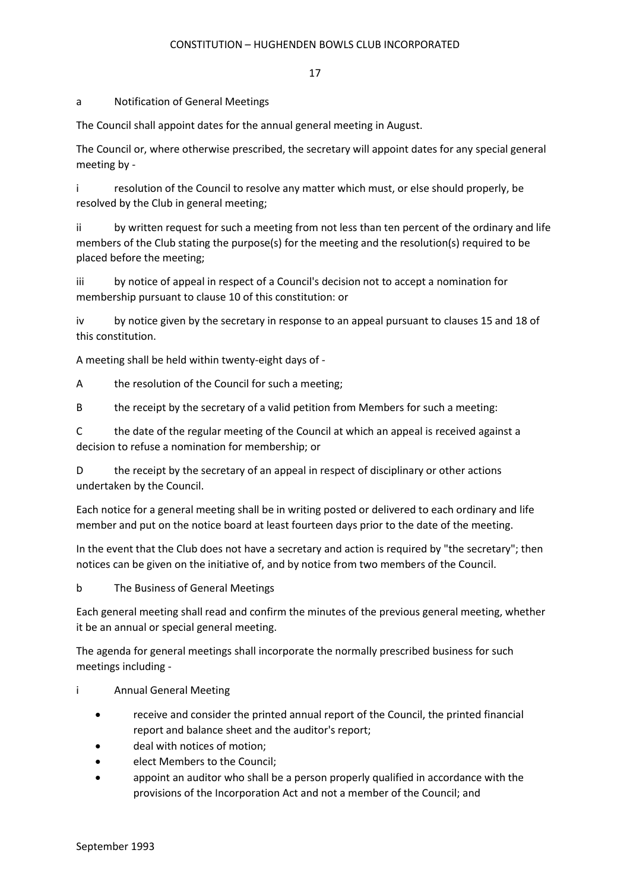#### a Notification of General Meetings

The Council shall appoint dates for the annual general meeting in August.

The Council or, where otherwise prescribed, the secretary will appoint dates for any special general meeting by -

i resolution of the Council to resolve any matter which must, or else should properly, be resolved by the Club in general meeting;

ii by written request for such a meeting from not less than ten percent of the ordinary and life members of the Club stating the purpose(s) for the meeting and the resolution(s) required to be placed before the meeting;

iii by notice of appeal in respect of a Council's decision not to accept a nomination for membership pursuant to clause 10 of this constitution: or

iv by notice given by the secretary in response to an appeal pursuant to clauses 15 and 18 of this constitution.

A meeting shall be held within twenty-eight days of -

A the resolution of the Council for such a meeting;

B the receipt by the secretary of a valid petition from Members for such a meeting:

C the date of the regular meeting of the Council at which an appeal is received against a decision to refuse a nomination for membership; or

D the receipt by the secretary of an appeal in respect of disciplinary or other actions undertaken by the Council.

Each notice for a general meeting shall be in writing posted or delivered to each ordinary and life member and put on the notice board at least fourteen days prior to the date of the meeting.

In the event that the Club does not have a secretary and action is required by "the secretary"; then notices can be given on the initiative of, and by notice from two members of the Council.

b The Business of General Meetings

Each general meeting shall read and confirm the minutes of the previous general meeting, whether it be an annual or special general meeting.

The agenda for general meetings shall incorporate the normally prescribed business for such meetings including -

#### i Annual General Meeting

- receive and consider the printed annual report of the Council, the printed financial report and balance sheet and the auditor's report;
- deal with notices of motion;
- **e** elect Members to the Council;
- appoint an auditor who shall be a person properly qualified in accordance with the provisions of the Incorporation Act and not a member of the Council; and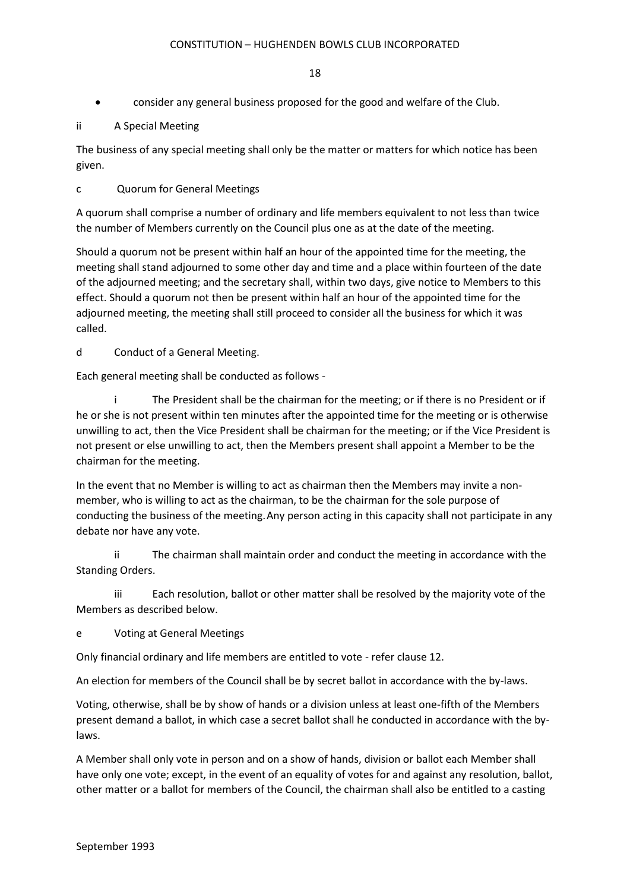- consider any general business proposed for the good and welfare of the Club.
- ii A Special Meeting

The business of any special meeting shall only be the matter or matters for which notice has been given.

#### c Quorum for General Meetings

A quorum shall comprise a number of ordinary and life members equivalent to not less than twice the number of Members currently on the Council plus one as at the date of the meeting.

Should a quorum not be present within half an hour of the appointed time for the meeting, the meeting shall stand adjourned to some other day and time and a place within fourteen of the date of the adjourned meeting; and the secretary shall, within two days, give notice to Members to this effect. Should a quorum not then be present within half an hour of the appointed time for the adjourned meeting, the meeting shall still proceed to consider all the business for which it was called.

d Conduct of a General Meeting.

Each general meeting shall be conducted as follows -

The President shall be the chairman for the meeting; or if there is no President or if he or she is not present within ten minutes after the appointed time for the meeting or is otherwise unwilling to act, then the Vice President shall be chairman for the meeting; or if the Vice President is not present or else unwilling to act, then the Members present shall appoint a Member to be the chairman for the meeting.

In the event that no Member is willing to act as chairman then the Members may invite a nonmember, who is willing to act as the chairman, to be the chairman for the sole purpose of conducting the business of the meeting.Any person acting in this capacity shall not participate in any debate nor have any vote.

ii The chairman shall maintain order and conduct the meeting in accordance with the Standing Orders.

iii Each resolution, ballot or other matter shall be resolved by the majority vote of the Members as described below.

e Voting at General Meetings

Only financial ordinary and life members are entitled to vote - refer clause 12.

An election for members of the Council shall be by secret ballot in accordance with the by-laws.

Voting, otherwise, shall be by show of hands or a division unless at least one-fifth of the Members present demand a ballot, in which case a secret ballot shall he conducted in accordance with the bylaws.

A Member shall only vote in person and on a show of hands, division or ballot each Member shall have only one vote; except, in the event of an equality of votes for and against any resolution, ballot, other matter or a ballot for members of the Council, the chairman shall also be entitled to a casting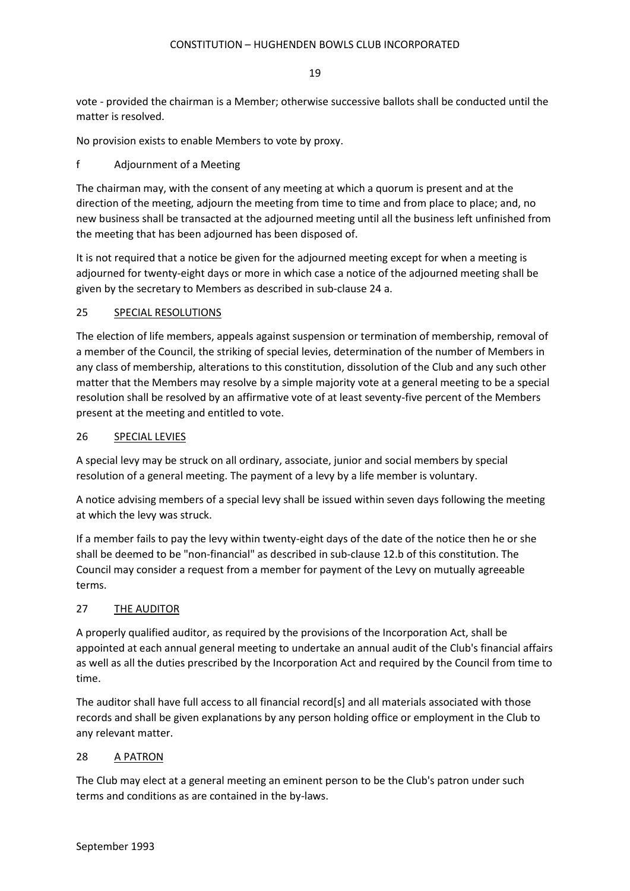vote - provided the chairman is a Member; otherwise successive ballots shall be conducted until the matter is resolved.

No provision exists to enable Members to vote by proxy.

f Adjournment of a Meeting

The chairman may, with the consent of any meeting at which a quorum is present and at the direction of the meeting, adjourn the meeting from time to time and from place to place; and, no new business shall be transacted at the adjourned meeting until all the business left unfinished from the meeting that has been adjourned has been disposed of.

It is not required that a notice be given for the adjourned meeting except for when a meeting is adjourned for twenty-eight days or more in which case a notice of the adjourned meeting shall be given by the secretary to Members as described in sub-clause 24 a.

#### 25 SPECIAL RESOLUTIONS

The election of life members, appeals against suspension or termination of membership, removal of a member of the Council, the striking of special levies, determination of the number of Members in any class of membership, alterations to this constitution, dissolution of the Club and any such other matter that the Members may resolve by a simple majority vote at a general meeting to be a special resolution shall be resolved by an affirmative vote of at least seventy-five percent of the Members present at the meeting and entitled to vote.

#### 26 SPECIAL LEVIES

A special levy may be struck on all ordinary, associate, junior and social members by special resolution of a general meeting. The payment of a levy by a life member is voluntary.

A notice advising members of a special levy shall be issued within seven days following the meeting at which the levy was struck.

If a member fails to pay the levy within twenty-eight days of the date of the notice then he or she shall be deemed to be "non-financial" as described in sub-clause 12.b of this constitution. The Council may consider a request from a member for payment of the Levy on mutually agreeable terms.

#### 27 THE AUDITOR

A properly qualified auditor, as required by the provisions of the Incorporation Act, shall be appointed at each annual general meeting to undertake an annual audit of the Club's financial affairs as well as all the duties prescribed by the Incorporation Act and required by the Council from time to time.

The auditor shall have full access to all financial record[s] and all materials associated with those records and shall be given explanations by any person holding office or employment in the Club to any relevant matter.

#### 28 A PATRON

The Club may elect at a general meeting an eminent person to be the Club's patron under such terms and conditions as are contained in the by-laws.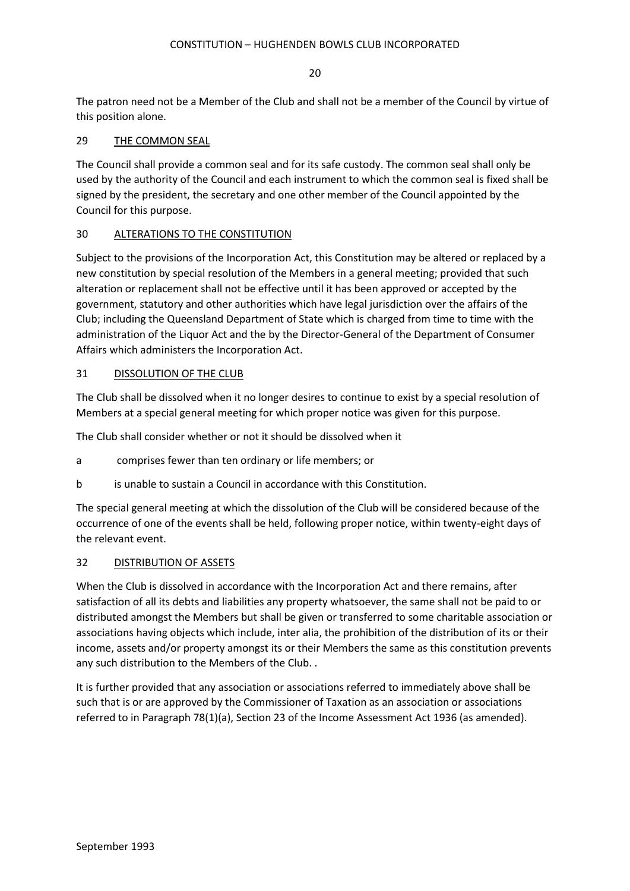The patron need not be a Member of the Club and shall not be a member of the Council by virtue of this position alone.

#### 29 THE COMMON SEAL

The Council shall provide a common seal and for its safe custody. The common seal shall only be used by the authority of the Council and each instrument to which the common seal is fixed shall be signed by the president, the secretary and one other member of the Council appointed by the Council for this purpose.

#### 30 ALTERATIONS TO THE CONSTITUTION

Subject to the provisions of the Incorporation Act, this Constitution may be altered or replaced by a new constitution by special resolution of the Members in a general meeting; provided that such alteration or replacement shall not be effective until it has been approved or accepted by the government, statutory and other authorities which have legal jurisdiction over the affairs of the Club; including the Queensland Department of State which is charged from time to time with the administration of the Liquor Act and the by the Director-General of the Department of Consumer Affairs which administers the Incorporation Act.

#### 31 DISSOLUTION OF THE CLUB

The Club shall be dissolved when it no longer desires to continue to exist by a special resolution of Members at a special general meeting for which proper notice was given for this purpose.

The Club shall consider whether or not it should be dissolved when it

- a comprises fewer than ten ordinary or life members; or
- b is unable to sustain a Council in accordance with this Constitution.

The special general meeting at which the dissolution of the Club will be considered because of the occurrence of one of the events shall be held, following proper notice, within twenty-eight days of the relevant event.

#### 32 DISTRIBUTION OF ASSETS

When the Club is dissolved in accordance with the Incorporation Act and there remains, after satisfaction of all its debts and liabilities any property whatsoever, the same shall not be paid to or distributed amongst the Members but shall be given or transferred to some charitable association or associations having objects which include, inter alia, the prohibition of the distribution of its or their income, assets and/or property amongst its or their Members the same as this constitution prevents any such distribution to the Members of the Club. .

It is further provided that any association or associations referred to immediately above shall be such that is or are approved by the Commissioner of Taxation as an association or associations referred to in Paragraph 78(1)(a), Section 23 of the Income Assessment Act 1936 (as amended).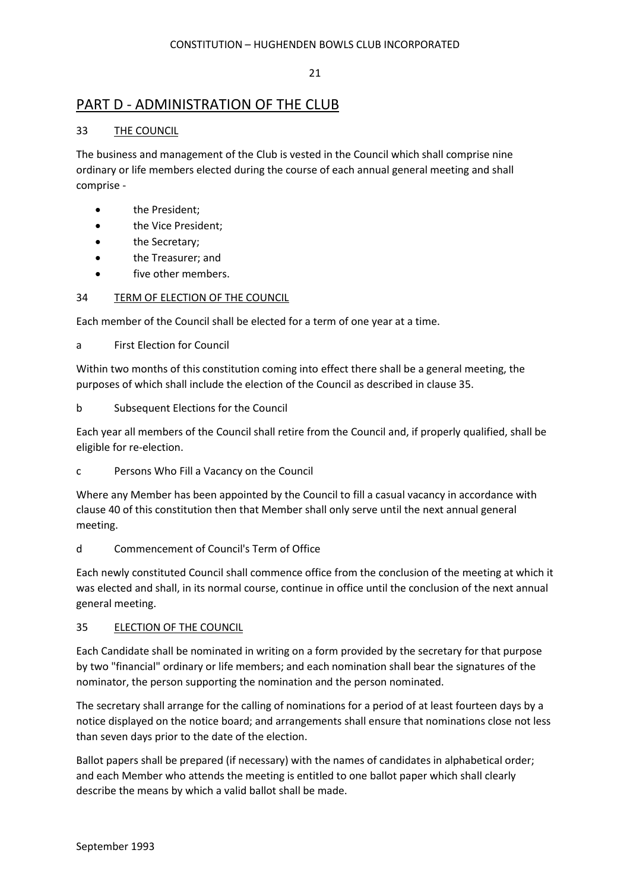## PART D - ADMINISTRATION OF THE CLUB

#### 33 THE COUNCIL

The business and management of the Club is vested in the Council which shall comprise nine ordinary or life members elected during the course of each annual general meeting and shall comprise -

- the President;
- the Vice President;
- the Secretary;
- the Treasurer; and
- five other members.

#### 34 TERM OF ELECTION OF THE COUNCIL

Each member of the Council shall be elected for a term of one year at a time.

a First Election for Council

Within two months of this constitution coming into effect there shall be a general meeting, the purposes of which shall include the election of the Council as described in clause 35.

b Subsequent Elections for the Council

Each year all members of the Council shall retire from the Council and, if properly qualified, shall be eligible for re-election.

c Persons Who Fill a Vacancy on the Council

Where any Member has been appointed by the Council to fill a casual vacancy in accordance with clause 40 of this constitution then that Member shall only serve until the next annual general meeting.

#### d Commencement of Council's Term of Office

Each newly constituted Council shall commence office from the conclusion of the meeting at which it was elected and shall, in its normal course, continue in office until the conclusion of the next annual general meeting.

#### 35 **ELECTION OF THE COUNCIL**

Each Candidate shall be nominated in writing on a form provided by the secretary for that purpose by two "financial" ordinary or life members; and each nomination shall bear the signatures of the nominator, the person supporting the nomination and the person nominated.

The secretary shall arrange for the calling of nominations for a period of at least fourteen days by a notice displayed on the notice board; and arrangements shall ensure that nominations close not less than seven days prior to the date of the election.

Ballot papers shall be prepared (if necessary) with the names of candidates in alphabetical order; and each Member who attends the meeting is entitled to one ballot paper which shall clearly describe the means by which a valid ballot shall be made.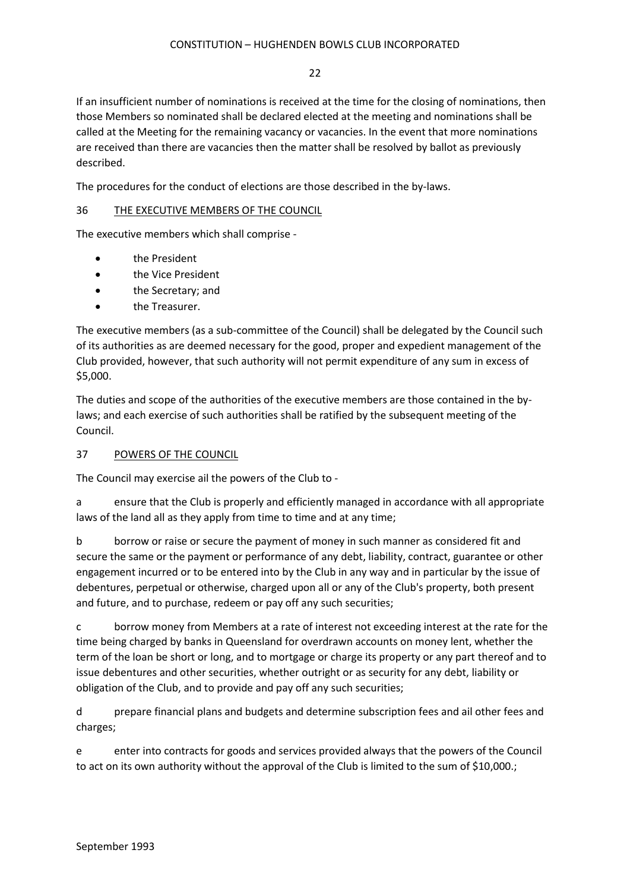If an insufficient number of nominations is received at the time for the closing of nominations, then those Members so nominated shall be declared elected at the meeting and nominations shall be called at the Meeting for the remaining vacancy or vacancies. In the event that more nominations are received than there are vacancies then the matter shall be resolved by ballot as previously described.

The procedures for the conduct of elections are those described in the by-laws.

#### 36 THE EXECUTIVE MEMBERS OF THE COUNCIL

The executive members which shall comprise -

- the President
- the Vice President
- the Secretary; and
- the Treasurer.

The executive members (as a sub-committee of the Council) shall be delegated by the Council such of its authorities as are deemed necessary for the good, proper and expedient management of the Club provided, however, that such authority will not permit expenditure of any sum in excess of \$5,000.

The duties and scope of the authorities of the executive members are those contained in the bylaws; and each exercise of such authorities shall be ratified by the subsequent meeting of the Council.

#### 37 POWERS OF THE COUNCIL

The Council may exercise ail the powers of the Club to -

a ensure that the Club is properly and efficiently managed in accordance with all appropriate laws of the land all as they apply from time to time and at any time;

b borrow or raise or secure the payment of money in such manner as considered fit and secure the same or the payment or performance of any debt, liability, contract, guarantee or other engagement incurred or to be entered into by the Club in any way and in particular by the issue of debentures, perpetual or otherwise, charged upon all or any of the Club's property, both present and future, and to purchase, redeem or pay off any such securities;

c borrow money from Members at a rate of interest not exceeding interest at the rate for the time being charged by banks in Queensland for overdrawn accounts on money lent, whether the term of the loan be short or long, and to mortgage or charge its property or any part thereof and to issue debentures and other securities, whether outright or as security for any debt, liability or obligation of the Club, and to provide and pay off any such securities;

d prepare financial plans and budgets and determine subscription fees and ail other fees and charges;

e enter into contracts for goods and services provided always that the powers of the Council to act on its own authority without the approval of the Club is limited to the sum of \$10,000.;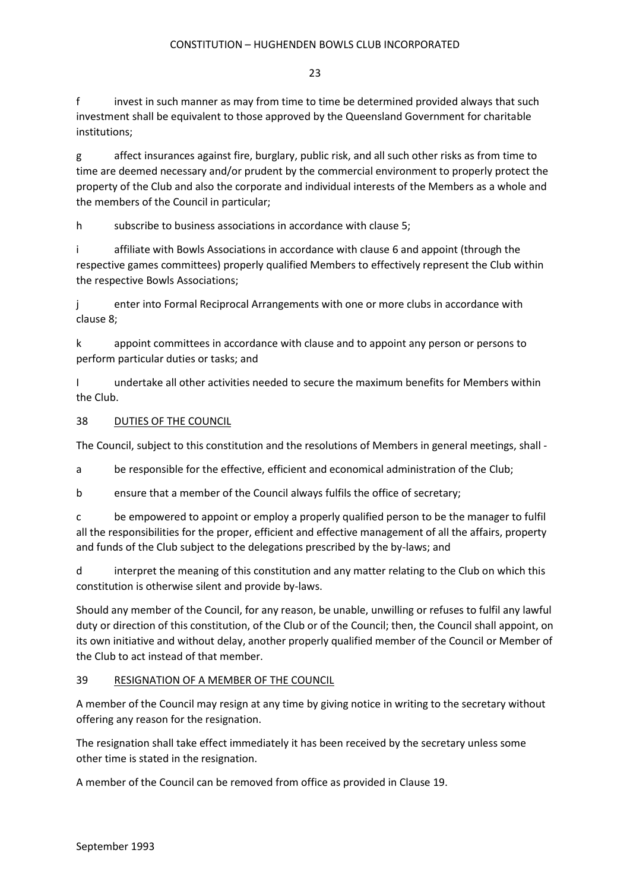f invest in such manner as may from time to time be determined provided always that such investment shall be equivalent to those approved by the Queensland Government for charitable institutions;

g affect insurances against fire, burglary, public risk, and all such other risks as from time to time are deemed necessary and/or prudent by the commercial environment to properly protect the property of the Club and also the corporate and individual interests of the Members as a whole and the members of the Council in particular;

h subscribe to business associations in accordance with clause 5;

i affiliate with Bowls Associations in accordance with clause 6 and appoint (through the respective games committees) properly qualified Members to effectively represent the Club within the respective Bowls Associations;

j enter into Formal Reciprocal Arrangements with one or more clubs in accordance with clause 8;

k appoint committees in accordance with clause and to appoint any person or persons to perform particular duties or tasks; and

I undertake all other activities needed to secure the maximum benefits for Members within the Club.

#### 38 DUTIES OF THE COUNCIL

The Council, subject to this constitution and the resolutions of Members in general meetings, shall -

a be responsible for the effective, efficient and economical administration of the Club;

b ensure that a member of the Council always fulfils the office of secretary;

c be empowered to appoint or employ a properly qualified person to be the manager to fulfil all the responsibilities for the proper, efficient and effective management of all the affairs, property and funds of the Club subject to the delegations prescribed by the by-laws; and

d interpret the meaning of this constitution and any matter relating to the Club on which this constitution is otherwise silent and provide by-laws.

Should any member of the Council, for any reason, be unable, unwilling or refuses to fulfil any lawful duty or direction of this constitution, of the Club or of the Council; then, the Council shall appoint, on its own initiative and without delay, another properly qualified member of the Council or Member of the Club to act instead of that member.

#### 39 RESIGNATION OF A MEMBER OF THE COUNCIL

A member of the Council may resign at any time by giving notice in writing to the secretary without offering any reason for the resignation.

The resignation shall take effect immediately it has been received by the secretary unless some other time is stated in the resignation.

A member of the Council can be removed from office as provided in Clause 19.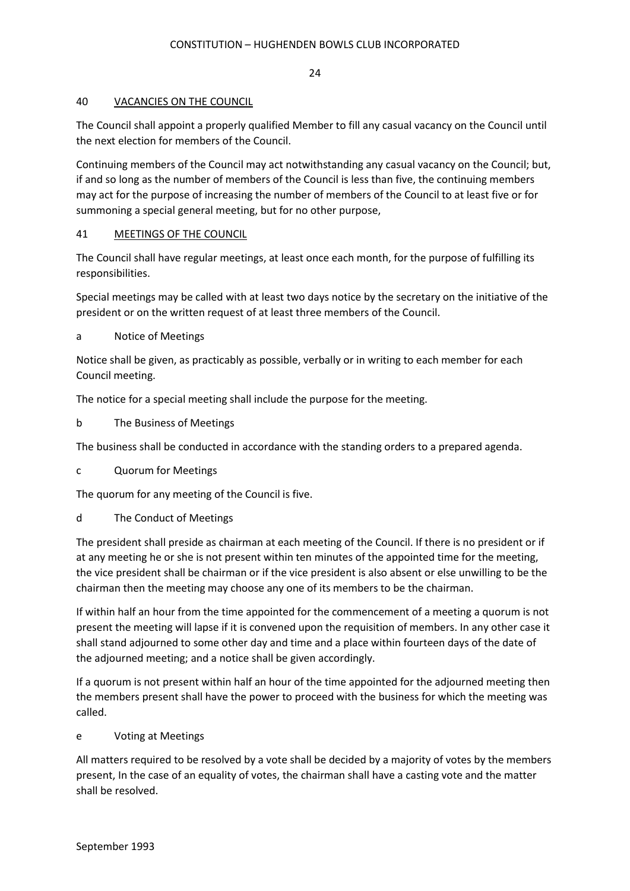#### 40 VACANCIES ON THE COUNCIL

The Council shall appoint a properly qualified Member to fill any casual vacancy on the Council until the next election for members of the Council.

Continuing members of the Council may act notwithstanding any casual vacancy on the Council; but, if and so long as the number of members of the Council is less than five, the continuing members may act for the purpose of increasing the number of members of the Council to at least five or for summoning a special general meeting, but for no other purpose,

#### 41 MEETINGS OF THE COUNCIL

The Council shall have regular meetings, at least once each month, for the purpose of fulfilling its responsibilities.

Special meetings may be called with at least two days notice by the secretary on the initiative of the president or on the written request of at least three members of the Council.

#### a Notice of Meetings

Notice shall be given, as practicably as possible, verbally or in writing to each member for each Council meeting.

The notice for a special meeting shall include the purpose for the meeting.

b The Business of Meetings

The business shall be conducted in accordance with the standing orders to a prepared agenda.

c Quorum for Meetings

The quorum for any meeting of the Council is five.

#### d The Conduct of Meetings

The president shall preside as chairman at each meeting of the Council. If there is no president or if at any meeting he or she is not present within ten minutes of the appointed time for the meeting, the vice president shall be chairman or if the vice president is also absent or else unwilling to be the chairman then the meeting may choose any one of its members to be the chairman.

If within half an hour from the time appointed for the commencement of a meeting a quorum is not present the meeting will lapse if it is convened upon the requisition of members. In any other case it shall stand adjourned to some other day and time and a place within fourteen days of the date of the adjourned meeting; and a notice shall be given accordingly.

If a quorum is not present within half an hour of the time appointed for the adjourned meeting then the members present shall have the power to proceed with the business for which the meeting was called.

e Voting at Meetings

All matters required to be resolved by a vote shall be decided by a majority of votes by the members present, In the case of an equality of votes, the chairman shall have a casting vote and the matter shall be resolved.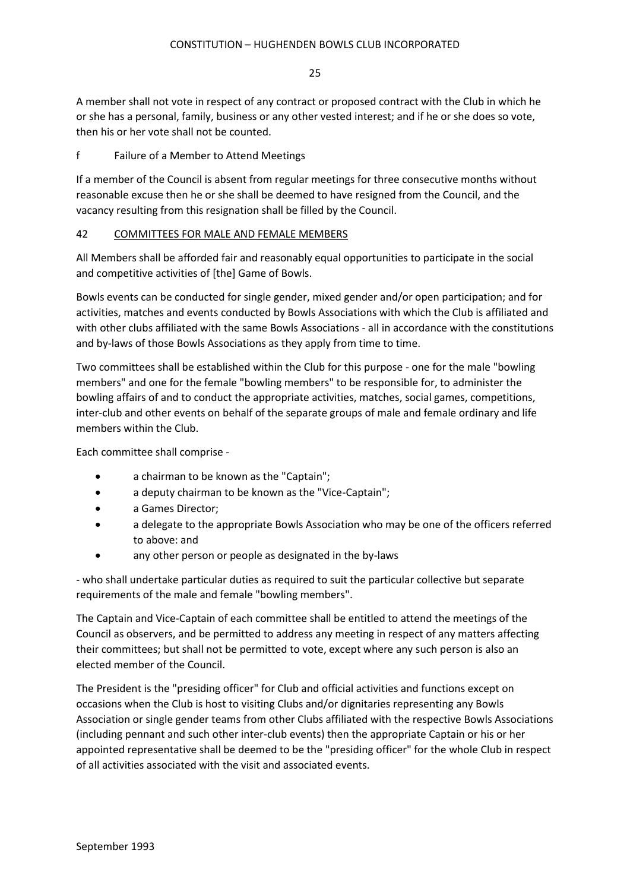A member shall not vote in respect of any contract or proposed contract with the Club in which he or she has a personal, family, business or any other vested interest; and if he or she does so vote, then his or her vote shall not be counted.

f Failure of a Member to Attend Meetings

If a member of the Council is absent from regular meetings for three consecutive months without reasonable excuse then he or she shall be deemed to have resigned from the Council, and the vacancy resulting from this resignation shall be filled by the Council.

#### 42 COMMITTEES FOR MALE AND FEMALE MEMBERS

All Members shall be afforded fair and reasonably equal opportunities to participate in the social and competitive activities of [the] Game of Bowls.

Bowls events can be conducted for single gender, mixed gender and/or open participation; and for activities, matches and events conducted by Bowls Associations with which the Club is affiliated and with other clubs affiliated with the same Bowls Associations - all in accordance with the constitutions and by-laws of those Bowls Associations as they apply from time to time.

Two committees shall be established within the Club for this purpose - one for the male "bowling members" and one for the female "bowling members" to be responsible for, to administer the bowling affairs of and to conduct the appropriate activities, matches, social games, competitions, inter-club and other events on behalf of the separate groups of male and female ordinary and life members within the Club.

Each committee shall comprise -

- a chairman to be known as the "Captain";
- a deputy chairman to be known as the "Vice-Captain";
- a Games Director;
- a delegate to the appropriate Bowls Association who may be one of the officers referred to above: and
- any other person or people as designated in the by-laws

- who shall undertake particular duties as required to suit the particular collective but separate requirements of the male and female "bowling members".

The Captain and Vice-Captain of each committee shall be entitled to attend the meetings of the Council as observers, and be permitted to address any meeting in respect of any matters affecting their committees; but shall not be permitted to vote, except where any such person is also an elected member of the Council.

The President is the "presiding officer" for Club and official activities and functions except on occasions when the Club is host to visiting Clubs and/or dignitaries representing any Bowls Association or single gender teams from other Clubs affiliated with the respective Bowls Associations (including pennant and such other inter-club events) then the appropriate Captain or his or her appointed representative shall be deemed to be the "presiding officer" for the whole Club in respect of all activities associated with the visit and associated events.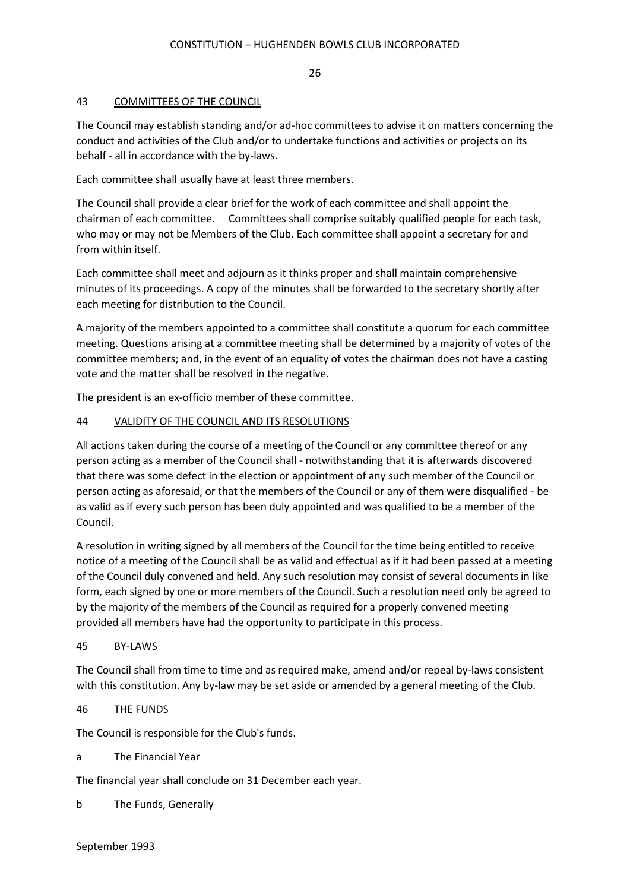#### 43 COMMITTEES OF THE COUNCIL

The Council may establish standing and/or ad-hoc committees to advise it on matters concerning the conduct and activities of the Club and/or to undertake functions and activities or projects on its behalf - all in accordance with the by-laws.

Each committee shall usually have at least three members.

The Council shall provide a clear brief for the work of each committee and shall appoint the chairman of each committee. Committees shall comprise suitably qualified people for each task, who may or may not be Members of the Club. Each committee shall appoint a secretary for and from within itself.

Each committee shall meet and adjourn as it thinks proper and shall maintain comprehensive minutes of its proceedings. A copy of the minutes shall be forwarded to the secretary shortly after each meeting for distribution to the Council.

A majority of the members appointed to a committee shall constitute a quorum for each committee meeting. Questions arising at a committee meeting shall be determined by a majority of votes of the committee members; and, in the event of an equality of votes the chairman does not have a casting vote and the matter shall be resolved in the negative.

The president is an ex-officio member of these committee.

#### 44 VALIDITY OF THE COUNCIL AND ITS RESOLUTIONS

All actions taken during the course of a meeting of the Council or any committee thereof or any person acting as a member of the Council shall - notwithstanding that it is afterwards discovered that there was some defect in the election or appointment of any such member of the Council or person acting as aforesaid, or that the members of the Council or any of them were disqualified - be as valid as if every such person has been duly appointed and was qualified to be a member of the Council.

A resolution in writing signed by all members of the Council for the time being entitled to receive notice of a meeting of the Council shall be as valid and effectual as if it had been passed at a meeting of the Council duly convened and held. Any such resolution may consist of several documents in like form, each signed by one or more members of the Council. Such a resolution need only be agreed to by the majority of the members of the Council as required for a properly convened meeting provided all members have had the opportunity to participate in this process.

#### 45 BY-LAWS

The Council shall from time to time and as required make, amend and/or repeal by-laws consistent with this constitution. Any by-law may be set aside or amended by a general meeting of the Club.

#### 46 THE FUNDS

The Council is responsible for the Club's funds.

a The Financial Year

The financial year shall conclude on 31 December each year.

b The Funds, Generally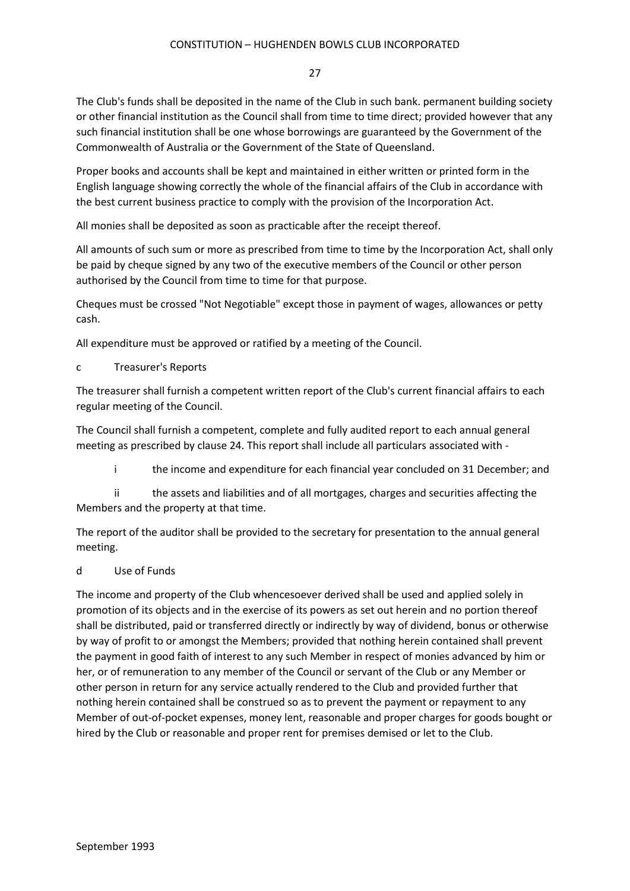The Club's funds shall be deposited in the name of the Club in such bank. permanent building society or other financial institution as the Council shall from time to time direct; provided however that any such financial institution shall be one whose borrowings are guaranteed by the Government of the Commonwealth of Australia or the Government of the State of Queensland.

Proper books and accounts shall be kept and maintained in either written or printed form in the English language showing correctly the whole of the financial affairs of the Club in accordance with the best current business practice to comply with the provision of the Incorporation Act.

All monies shall be deposited as soon as practicable after the receipt thereof.

All amounts of such sum or more as prescribed from time to time by the Incorporation Act, shall only be paid by cheque signed by any two of the executive members of the Council or other person authorised by the Council from time to time for that purpose.

Cheques must be crossed "Not Negotiable" except those in payment of wages, allowances or petty cash.

All expenditure must be approved or ratified by a meeting of the Council.

c Treasurer's Reports

The treasurer shall furnish a competent written report of the Club's current financial affairs to each regular meeting of the Council.

The Council shall furnish a competent, complete and fully audited report to each annual general meeting as prescribed by clause 24. This report shall include all particulars associated with -

i the income and expenditure for each financial year concluded on 31 December; and

ii the assets and liabilities and of all mortgages, charges and securities affecting the Members and the property at that time.

The report of the auditor shall be provided to the secretary for presentation to the annual general meeting.

#### d Use of Funds

The income and property of the Club whencesoever derived shall be used and applied solely in promotion of its objects and in the exercise of its powers as set out herein and no portion thereof shall be distributed, paid or transferred directly or indirectly by way of dividend, bonus or otherwise by way of profit to or amongst the Members; provided that nothing herein contained shall prevent the payment in good faith of interest to any such Member in respect of monies advanced by him or her, or of remuneration to any member of the Council or servant of the Club or any Member or other person in return for any service actually rendered to the Club and provided further that nothing herein contained shall be construed so as to prevent the payment or repayment to any Member of out-of-pocket expenses, money lent, reasonable and proper charges for goods bought or hired by the Club or reasonable and proper rent for premises demised or let to the Club.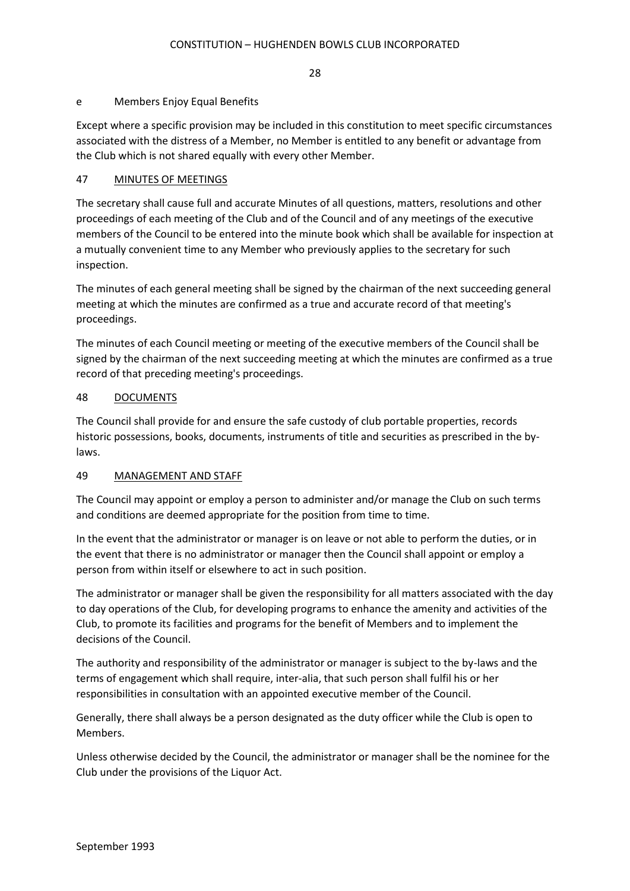#### e Members Enjoy Equal Benefits

Except where a specific provision may be included in this constitution to meet specific circumstances associated with the distress of a Member, no Member is entitled to any benefit or advantage from the Club which is not shared equally with every other Member.

#### 47 MINUTES OF MEETINGS

The secretary shall cause full and accurate Minutes of all questions, matters, resolutions and other proceedings of each meeting of the Club and of the Council and of any meetings of the executive members of the Council to be entered into the minute book which shall be available for inspection at a mutually convenient time to any Member who previously applies to the secretary for such inspection.

The minutes of each general meeting shall be signed by the chairman of the next succeeding general meeting at which the minutes are confirmed as a true and accurate record of that meeting's proceedings.

The minutes of each Council meeting or meeting of the executive members of the Council shall be signed by the chairman of the next succeeding meeting at which the minutes are confirmed as a true record of that preceding meeting's proceedings.

#### 48 DOCUMENTS

The Council shall provide for and ensure the safe custody of club portable properties, records historic possessions, books, documents, instruments of title and securities as prescribed in the bylaws.

#### 49 MANAGEMENT AND STAFF

The Council may appoint or employ a person to administer and/or manage the Club on such terms and conditions are deemed appropriate for the position from time to time.

In the event that the administrator or manager is on leave or not able to perform the duties, or in the event that there is no administrator or manager then the Council shall appoint or employ a person from within itself or elsewhere to act in such position.

The administrator or manager shall be given the responsibility for all matters associated with the day to day operations of the Club, for developing programs to enhance the amenity and activities of the Club, to promote its facilities and programs for the benefit of Members and to implement the decisions of the Council.

The authority and responsibility of the administrator or manager is subject to the by-laws and the terms of engagement which shall require, inter-alia, that such person shall fulfil his or her responsibilities in consultation with an appointed executive member of the Council.

Generally, there shall always be a person designated as the duty officer while the Club is open to Members.

Unless otherwise decided by the Council, the administrator or manager shall be the nominee for the Club under the provisions of the Liquor Act.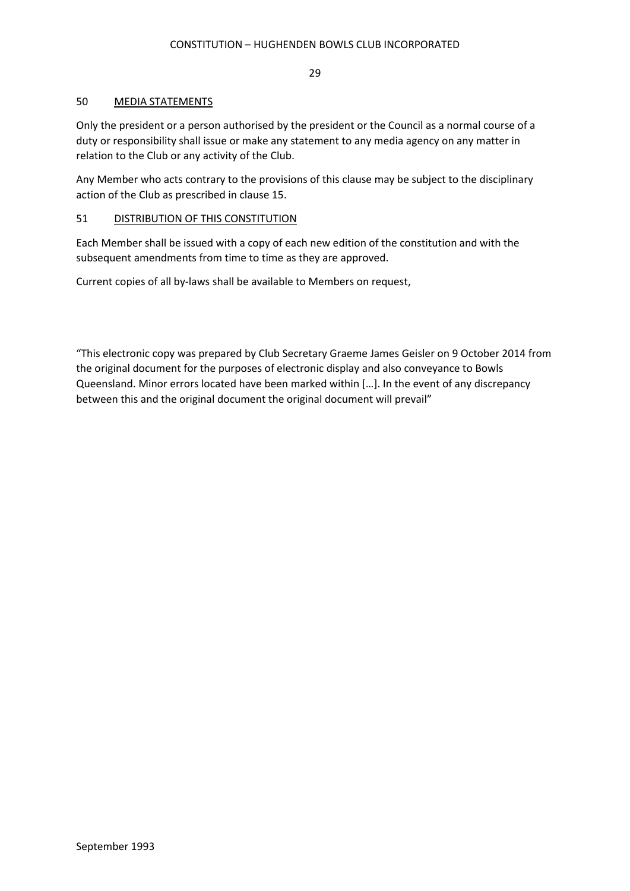#### 50 MEDIA STATEMENTS

Only the president or a person authorised by the president or the Council as a normal course of a duty or responsibility shall issue or make any statement to any media agency on any matter in relation to the Club or any activity of the Club.

Any Member who acts contrary to the provisions of this clause may be subject to the disciplinary action of the Club as prescribed in clause 15.

#### 51 DISTRIBUTION OF THIS CONSTITUTION

Each Member shall be issued with a copy of each new edition of the constitution and with the subsequent amendments from time to time as they are approved.

Current copies of all by-laws shall be available to Members on request,

"This electronic copy was prepared by Club Secretary Graeme James Geisler on 9 October 2014 from the original document for the purposes of electronic display and also conveyance to Bowls Queensland. Minor errors located have been marked within […]. In the event of any discrepancy between this and the original document the original document will prevail"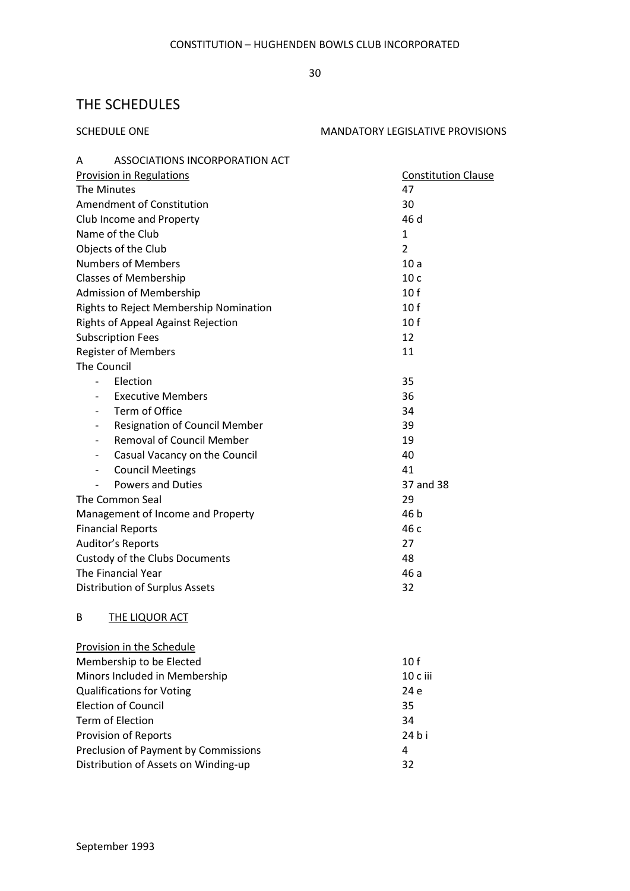# THE SCHEDULES

| <b>SCHEDULE ONE</b> |  |  |
|---------------------|--|--|
|                     |  |  |

#### MANDATORY LEGISLATIVE PROVISIONS

| ASSOCIATIONS INCORPORATION ACT<br>A                              |                            |
|------------------------------------------------------------------|----------------------------|
| <b>Provision in Regulations</b>                                  | <b>Constitution Clause</b> |
| The Minutes                                                      | 47                         |
| Amendment of Constitution                                        | 30                         |
| Club Income and Property                                         | 46 d                       |
| Name of the Club                                                 | $\mathbf{1}$               |
| Objects of the Club                                              | $\overline{2}$             |
| <b>Numbers of Members</b>                                        | 10a                        |
| <b>Classes of Membership</b>                                     | 10 <sub>c</sub>            |
| Admission of Membership                                          | 10 f                       |
| Rights to Reject Membership Nomination                           | 10f                        |
| Rights of Appeal Against Rejection                               | 10 f                       |
| <b>Subscription Fees</b>                                         | 12                         |
| <b>Register of Members</b>                                       | 11                         |
| The Council                                                      |                            |
| Election                                                         | 35                         |
| <b>Executive Members</b>                                         | 36                         |
| Term of Office                                                   | 34                         |
| <b>Resignation of Council Member</b><br>$\overline{\phantom{0}}$ | 39                         |
| <b>Removal of Council Member</b><br>$\overline{\phantom{0}}$     | 19                         |
| Casual Vacancy on the Council<br>$\overline{\phantom{0}}$        | 40                         |
| <b>Council Meetings</b><br>$\qquad \qquad -$                     | 41                         |
| <b>Powers and Duties</b><br>$\overline{\phantom{0}}$             | 37 and 38                  |
| The Common Seal                                                  | 29                         |
| Management of Income and Property                                | 46 b                       |
| <b>Financial Reports</b>                                         | 46 с                       |
| <b>Auditor's Reports</b>                                         | 27                         |
| Custody of the Clubs Documents                                   | 48                         |
| The Financial Year                                               | 46 a                       |
| Distribution of Surplus Assets                                   | 32                         |
| B<br>THE LIQUOR ACT                                              |                            |
| <b>Provision in the Schedule</b>                                 |                            |
| Membership to be Elected                                         | 10 f                       |
| Minors Included in Membership                                    | 10 c iii                   |
| <b>Qualifications for Voting</b>                                 | 24 e                       |
| <b>Election of Council</b>                                       | 35                         |
| <b>Term of Election</b>                                          | 34                         |
| <b>Provision of Reports</b>                                      | 24 h i                     |
| Preclusion of Payment by Commissions                             | 4                          |
| Distribution of Assets on Winding-up                             | 32                         |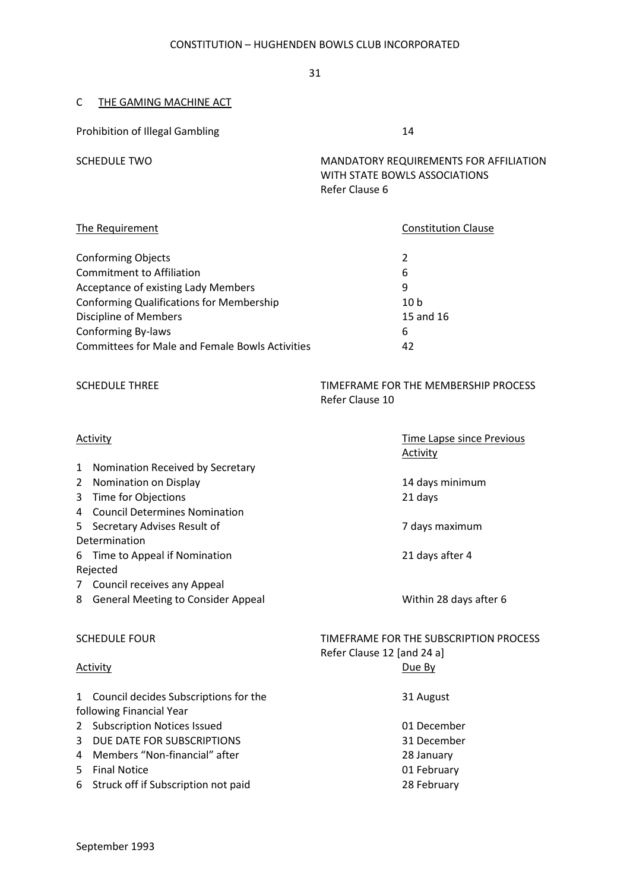#### C THE GAMING MACHINE ACT

Prohibition of Illegal Gambling 14

SCHEDULE TWO **MANDATORY REQUIREMENTS FOR AFFILIATION** WITH STATE BOWLS ASSOCIATIONS Refer Clause 6

| The Requirement                                        | <b>Constitution Clause</b> |
|--------------------------------------------------------|----------------------------|
| <b>Conforming Objects</b>                              | 2                          |
| <b>Commitment to Affiliation</b>                       | 6                          |
| <b>Acceptance of existing Lady Members</b>             | 9                          |
| <b>Conforming Qualifications for Membership</b>        | 10 <sub>b</sub>            |
| <b>Discipline of Members</b>                           | 15 and 16                  |
| Conforming By-laws                                     | 6                          |
| <b>Committees for Male and Female Bowls Activities</b> | 42                         |

#### SCHEDULE THREE THE MEMBERSHIP PROCESS Refer Clause 10

| <b>Activity</b> |                                           | <b>Time Lapse since Previous</b>       |
|-----------------|-------------------------------------------|----------------------------------------|
|                 |                                           | Activity                               |
| 1               | Nomination Received by Secretary          |                                        |
| 2               | Nomination on Display                     | 14 days minimum                        |
| 3               | Time for Objections                       | 21 days                                |
| 4               | <b>Council Determines Nomination</b>      |                                        |
| 5.              | Secretary Advises Result of               | 7 days maximum                         |
|                 | Determination                             |                                        |
| 6               | Time to Appeal if Nomination              | 21 days after 4                        |
|                 | Rejected                                  |                                        |
| 7               | Council receives any Appeal               |                                        |
| 8               | <b>General Meeting to Consider Appeal</b> | Within 28 days after 6                 |
|                 |                                           |                                        |
|                 |                                           |                                        |
|                 |                                           | TIMEFRAME FOR THE SUBSCRIPTION PROCESS |
|                 | <b>SCHEDULE FOUR</b>                      |                                        |
|                 |                                           | Refer Clause 12 [and 24 a]             |
|                 | <b>Activity</b>                           | Due By                                 |
| 1               | Council decides Subscriptions for the     | 31 August                              |
|                 | following Financial Year                  |                                        |
| 2               | <b>Subscription Notices Issued</b>        | 01 December                            |
| 3               | DUE DATE FOR SUBSCRIPTIONS                | 31 December                            |
| 4               | Members "Non-financial" after             | 28 January                             |
| 5.              | <b>Final Notice</b>                       | 01 February                            |
| 6               | Struck off if Subscription not paid       | 28 February                            |